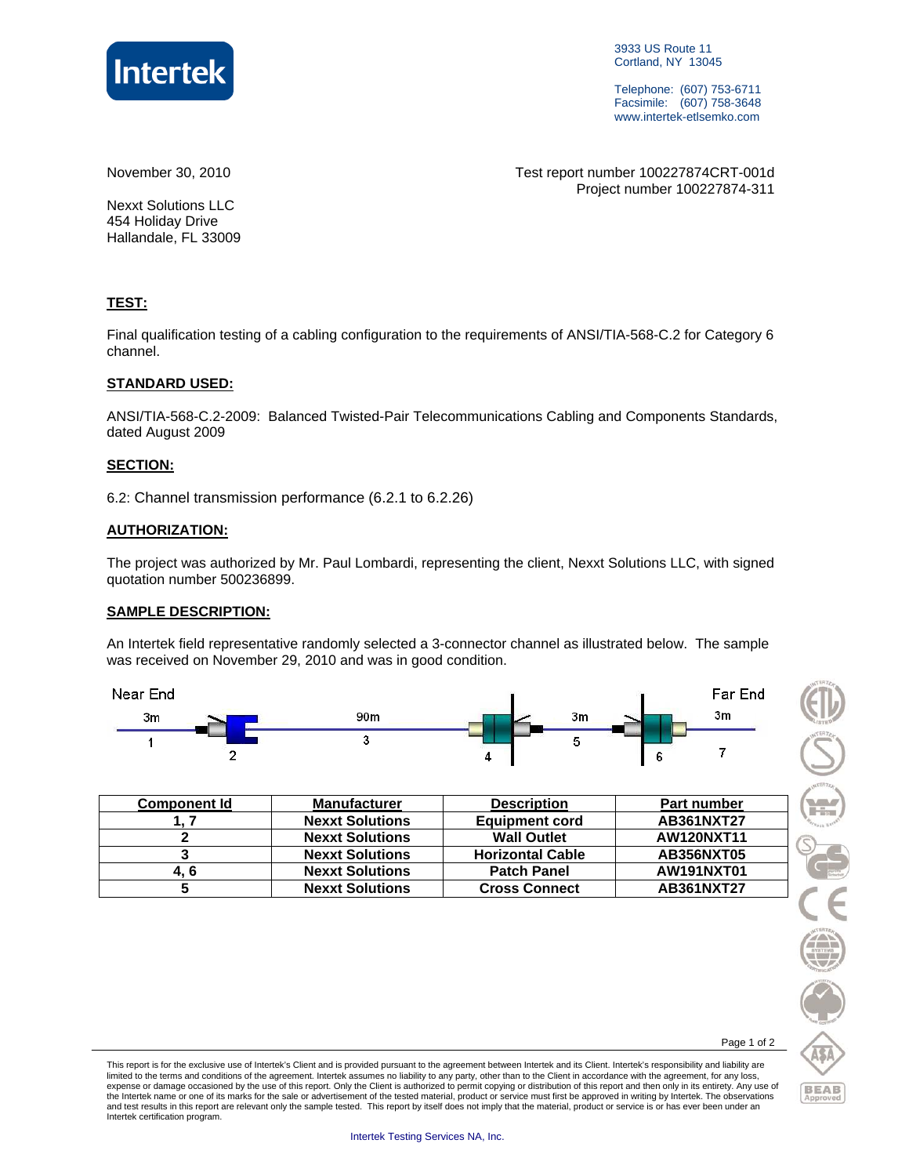

3933 US Route 11 Cortland, NY 13045

Telephone: (607) 753-6711 Facsimile: (607) 758-3648 www.intertek-etlsemko.com

November 30, 2010 Test report number 100227874CRT-001d Project number 100227874-311

Nexxt Solutions LLC 454 Holiday Drive Hallandale, FL 33009

#### **TEST:**

Final qualification testing of a cabling configuration to the requirements of ANSI/TIA-568-C.2 for Category 6 channel.

#### **STANDARD USED:**

ANSI/TIA-568-C.2-2009: Balanced Twisted-Pair Telecommunications Cabling and Components Standards, dated August 2009

#### **SECTION:**

6.2: Channel transmission performance (6.2.1 to 6.2.26)

#### **AUTHORIZATION:**

The project was authorized by Mr. Paul Lombardi, representing the client, Nexxt Solutions LLC, with signed quotation number 500236899.

#### **SAMPLE DESCRIPTION:**

An Intertek field representative randomly selected a 3-connector channel as illustrated below. The sample was received on November 29, 2010 and was in good condition.



| <b>Component Id</b> | <b>Manufacturer</b>    | <b>Description</b>      | <b>Part number</b> |
|---------------------|------------------------|-------------------------|--------------------|
|                     | <b>Nexxt Solutions</b> | <b>Equipment cord</b>   | AB361NXT27         |
|                     | <b>Nexxt Solutions</b> | <b>Wall Outlet</b>      | <b>AW120NXT11</b>  |
|                     | <b>Nexxt Solutions</b> | <b>Horizontal Cable</b> | <b>AB356NXT05</b>  |
| 4. 6                | <b>Nexxt Solutions</b> | <b>Patch Panel</b>      | AW191NXT01         |
|                     | <b>Nexxt Solutions</b> | <b>Cross Connect</b>    | AB361NXT27         |



Page 1 of 2

This report is for the exclusive use of Intertek's Client and is provided pursuant to the agreement between Intertek and its Client. Intertek's responsibility and liability are limited to the terms and conditions of the agreement. Intertek assumes no liability to any party, other than to the Client in accordance with the agreement, for any loss,<br>expense or damage occasioned by the use of this rep the Intertek name or one of its marks for the sale or advertisement of the tested material, product or service must first be approved in writing by Intertek. The observations and test results in this report are relevant only the sample tested. This report by itself does not imply that the material, product or service is or has ever been under an Intertek certification program.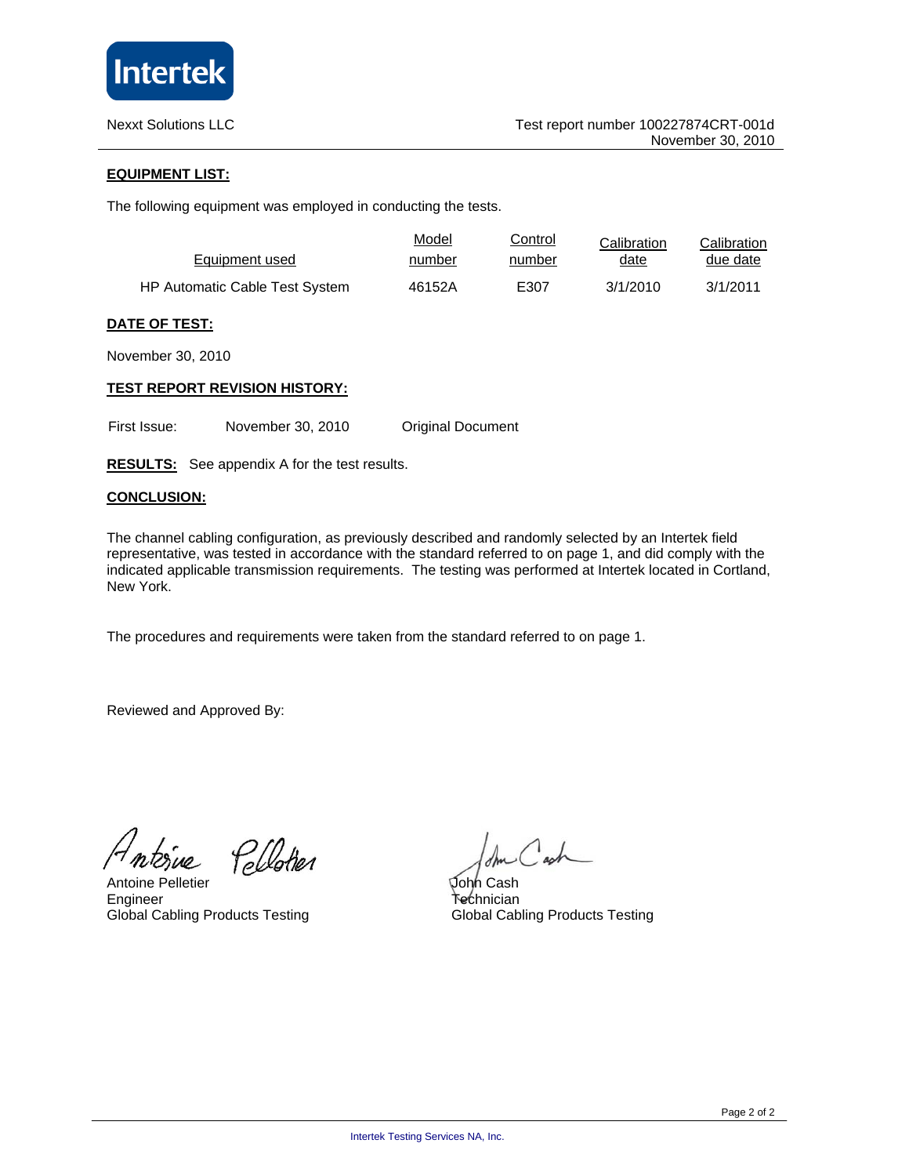

#### **EQUIPMENT LIST:**

The following equipment was employed in conducting the tests.

| Equipment used                        | Model  | Control | Calibration | Calibration |
|---------------------------------------|--------|---------|-------------|-------------|
|                                       | number | number  | date        | due date    |
| <b>HP Automatic Cable Test System</b> | 46152A | E307    | 3/1/2010    | 3/1/2011    |

#### **DATE OF TEST:**

November 30, 2010

#### **TEST REPORT REVISION HISTORY:**

First Issue: November 30, 2010 Original Document

**RESULTS:** See appendix A for the test results.

#### **CONCLUSION:**

The channel cabling configuration, as previously described and randomly selected by an Intertek field representative, was tested in accordance with the standard referred to on page 1, and did comply with the indicated applicable transmission requirements. The testing was performed at Intertek located in Cortland, New York.

The procedures and requirements were taken from the standard referred to on page 1.

Reviewed and Approved By:

 $\mu$ 

Pellotier

Antoine Pelletier Engineer Global Cabling Products Testing

John Cash Technician Global Cabling Products Testing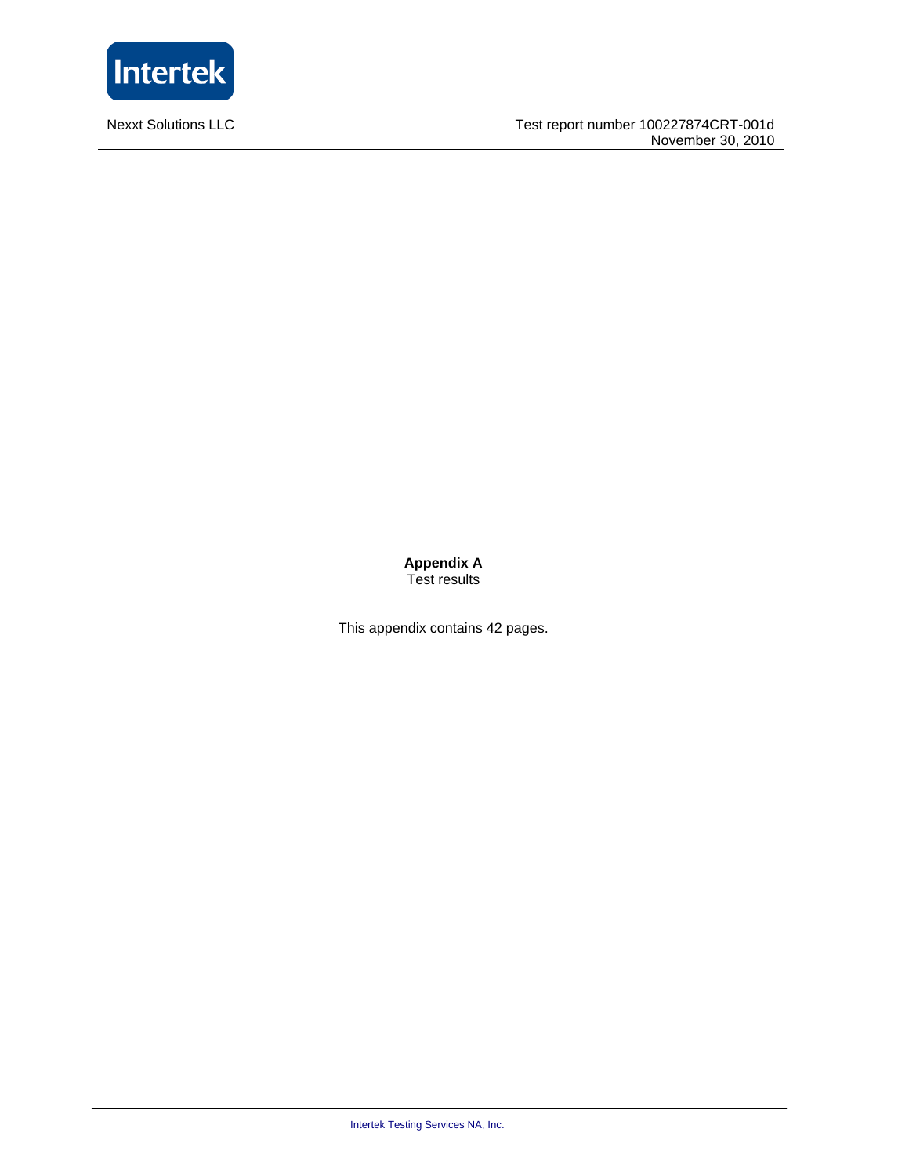

**Nexxt Solutions LLC** 

**Appendix A**  Test results

This appendix contains 42 pages.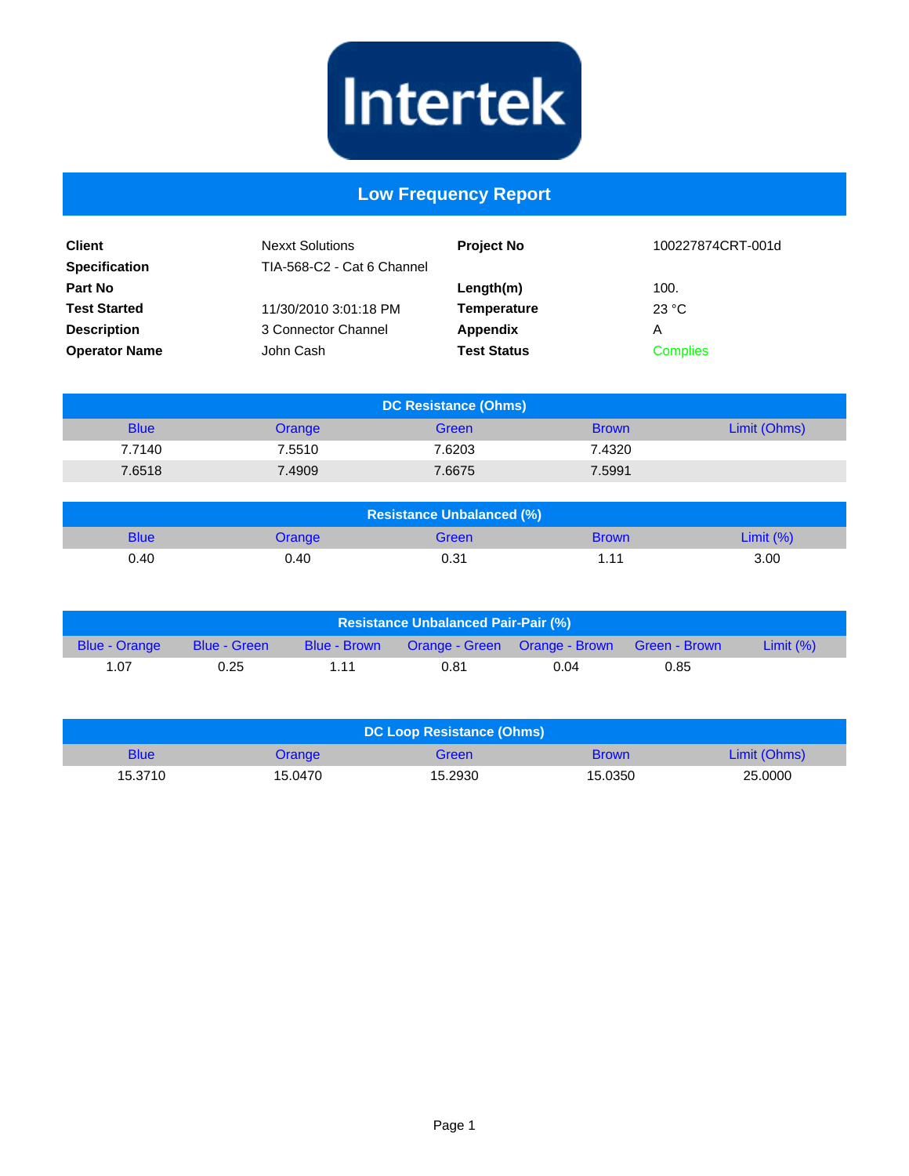

## **Low Frequency Report**

| <b>Client</b><br><b>Specification</b> | <b>Nexxt Solutions</b><br>TIA-568-C2 - Cat 6 Channel | <b>Project No</b>  | 100227874CRT-001d |
|---------------------------------------|------------------------------------------------------|--------------------|-------------------|
| <b>Part No</b>                        |                                                      | Length(m)          | 100.              |
| <b>Test Started</b>                   | 11/30/2010 3:01:18 PM                                | <b>Temperature</b> | 23 °C             |
| <b>Description</b>                    | 3 Connector Channel                                  | Appendix           | Α                 |
| <b>Operator Name</b>                  | John Cash                                            | <b>Test Status</b> | <b>Complies</b>   |

| DC Resistance (Ohms) |        |        |              |              |  |
|----------------------|--------|--------|--------------|--------------|--|
| <b>Blue</b>          | Orange | Green  | <b>Brown</b> | Limit (Ohms) |  |
| 7.7140               | 7.5510 | 7.6203 | 7.4320       |              |  |
| 7.6518               | 7.4909 | 7.6675 | 7.5991       |              |  |

| <b>Resistance Unbalanced (%)</b> |        |       |              |              |  |
|----------------------------------|--------|-------|--------------|--------------|--|
| <b>Blue</b>                      | Orange | Green | <b>Brown</b> | Limit $(% )$ |  |
| 0.40                             | 0.40   | 0.31  | 1.11         | 3.00         |  |

| <b>Resistance Unbalanced Pair-Pair (%)</b> |                     |              |      |                                             |      |              |
|--------------------------------------------|---------------------|--------------|------|---------------------------------------------|------|--------------|
| <b>Blue - Orange</b>                       | <b>Blue - Green</b> | Blue - Brown |      | Orange - Green Orange - Brown Green - Brown |      | Limit $(% )$ |
| 1.07                                       | 0.25                | 1 1 1        | 0.81 | 0.04                                        | 0.85 |              |

| DC Loop Resistance (Ohms) |         |         |              |              |  |
|---------------------------|---------|---------|--------------|--------------|--|
| <b>Blue</b>               | Orange  | Green   | <b>Brown</b> | Limit (Ohms) |  |
| 15.3710                   | 15.0470 | 15.2930 | 15.0350      | 25,0000      |  |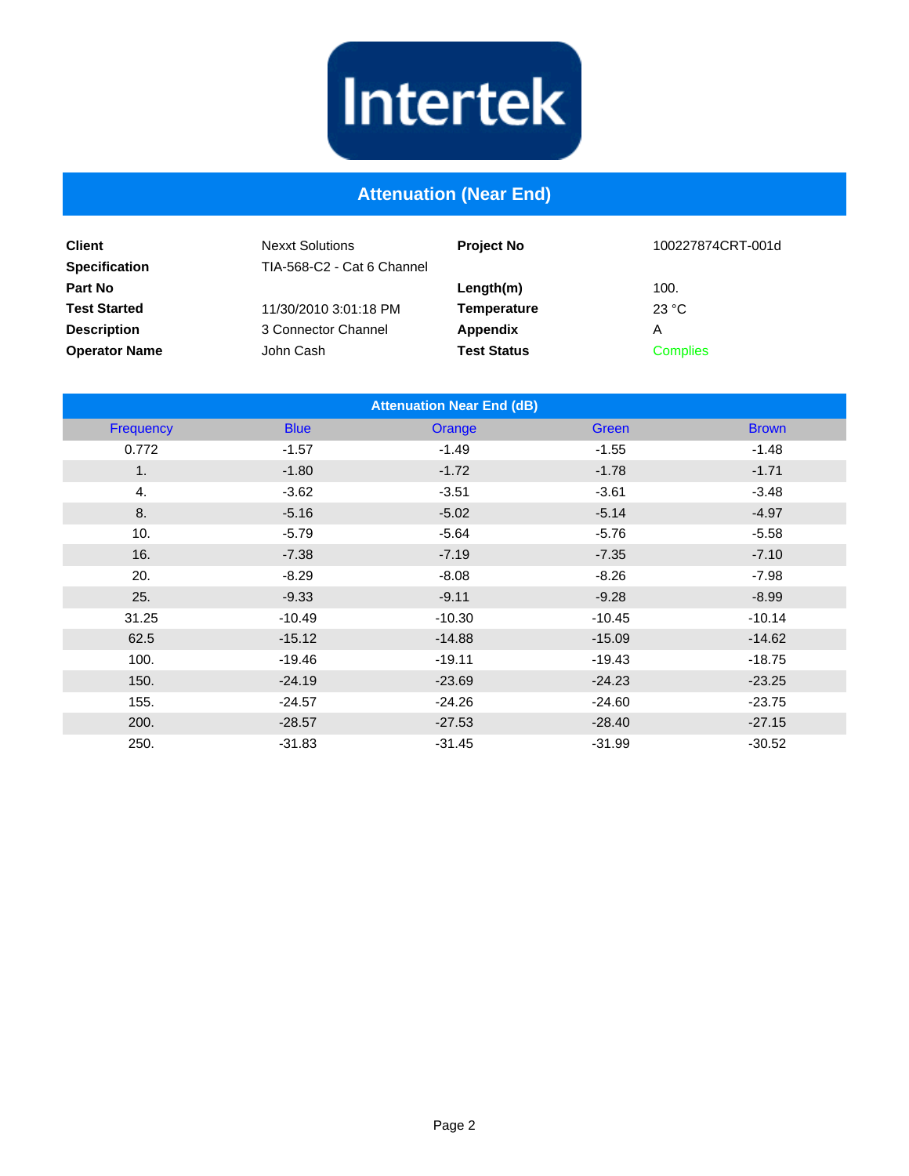# Intertek

## **Attenuation (Near End)**

| <b>Client</b><br><b>Specification</b> | <b>Nexxt Solutions</b><br>TIA-568-C2 - Cat 6 Channel | <b>Project No</b>  | 100227874CRT-001d |
|---------------------------------------|------------------------------------------------------|--------------------|-------------------|
| <b>Part No</b>                        |                                                      | Length(m)          | 100.              |
| <b>Test Started</b>                   | 11/30/2010 3:01:18 PM                                | Temperature        | 23 °C             |
| <b>Description</b>                    | 3 Connector Channel                                  | Appendix           | Α                 |
| <b>Operator Name</b>                  | John Cash                                            | <b>Test Status</b> | <b>Complies</b>   |

| <b>Attenuation Near End (dB)</b> |             |          |          |              |  |  |
|----------------------------------|-------------|----------|----------|--------------|--|--|
| Frequency                        | <b>Blue</b> | Orange   | Green    | <b>Brown</b> |  |  |
| 0.772                            | $-1.57$     | $-1.49$  | $-1.55$  | $-1.48$      |  |  |
| 1.                               | $-1.80$     | $-1.72$  | $-1.78$  | $-1.71$      |  |  |
| 4.                               | $-3.62$     | $-3.51$  | $-3.61$  | $-3.48$      |  |  |
| 8.                               | $-5.16$     | $-5.02$  | $-5.14$  | $-4.97$      |  |  |
| 10.                              | $-5.79$     | $-5.64$  | $-5.76$  | $-5.58$      |  |  |
| 16.                              | $-7.38$     | $-7.19$  | $-7.35$  | $-7.10$      |  |  |
| 20.                              | $-8.29$     | $-8.08$  | $-8.26$  | $-7.98$      |  |  |
| 25.                              | $-9.33$     | $-9.11$  | $-9.28$  | $-8.99$      |  |  |
| 31.25                            | $-10.49$    | $-10.30$ | $-10.45$ | $-10.14$     |  |  |
| 62.5                             | $-15.12$    | $-14.88$ | $-15.09$ | $-14.62$     |  |  |
| 100.                             | $-19.46$    | $-19.11$ | $-19.43$ | $-18.75$     |  |  |
| 150.                             | $-24.19$    | $-23.69$ | $-24.23$ | $-23.25$     |  |  |
| 155.                             | $-24.57$    | $-24.26$ | $-24.60$ | $-23.75$     |  |  |
| 200.                             | $-28.57$    | $-27.53$ | $-28.40$ | $-27.15$     |  |  |
| 250.                             | $-31.83$    | $-31.45$ | $-31.99$ | $-30.52$     |  |  |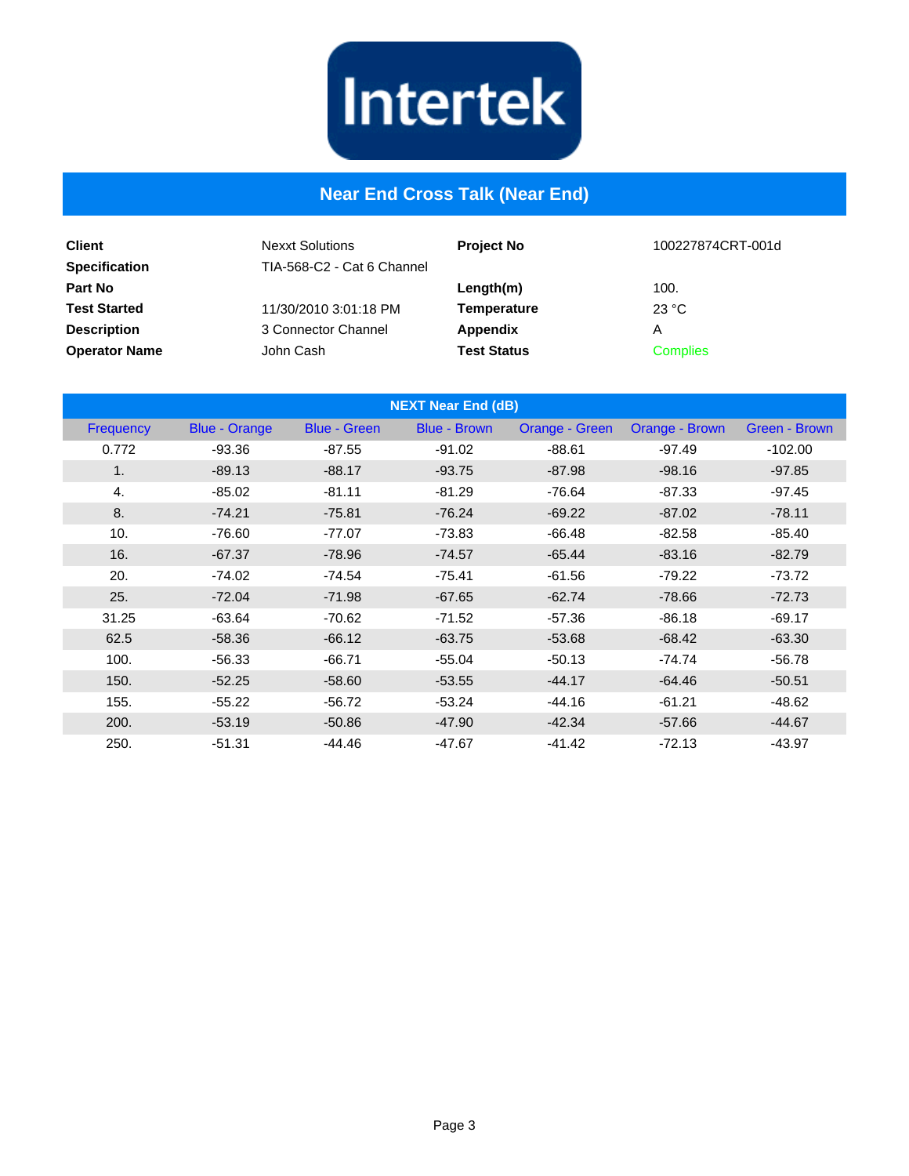

## **Near End Cross Talk (Near End)**

| <b>Client</b><br><b>Specification</b> | <b>Nexxt Solutions</b><br>TIA-568-C2 - Cat 6 Channel | <b>Project No</b>  | 100227874CRT-001d |
|---------------------------------------|------------------------------------------------------|--------------------|-------------------|
| <b>Part No</b>                        |                                                      | Length(m)          | 100.              |
| <b>Test Started</b>                   | 11/30/2010 3:01:18 PM                                | <b>Temperature</b> | 23 °C             |
| <b>Description</b>                    | 3 Connector Channel                                  | Appendix           | Α                 |
| <b>Operator Name</b>                  | John Cash                                            | <b>Test Status</b> | <b>Complies</b>   |

| <b>NEXT Near End (dB)</b> |                      |                     |                     |                |                |               |
|---------------------------|----------------------|---------------------|---------------------|----------------|----------------|---------------|
| <b>Frequency</b>          | <b>Blue - Orange</b> | <b>Blue - Green</b> | <b>Blue - Brown</b> | Orange - Green | Orange - Brown | Green - Brown |
| 0.772                     | $-93.36$             | $-87.55$            | $-91.02$            | $-88.61$       | $-97.49$       | $-102.00$     |
| 1.                        | $-89.13$             | $-88.17$            | $-93.75$            | $-87.98$       | $-98.16$       | $-97.85$      |
| 4.                        | $-85.02$             | $-81.11$            | $-81.29$            | $-76.64$       | $-87.33$       | $-97.45$      |
| 8.                        | $-74.21$             | $-75.81$            | $-76.24$            | $-69.22$       | $-87.02$       | $-78.11$      |
| 10.                       | $-76.60$             | $-77.07$            | $-73.83$            | $-66.48$       | $-82.58$       | $-85.40$      |
| 16.                       | $-67.37$             | $-78.96$            | $-74.57$            | $-65.44$       | $-83.16$       | $-82.79$      |
| 20.                       | $-74.02$             | $-74.54$            | $-75.41$            | $-61.56$       | $-79.22$       | $-73.72$      |
| 25.                       | $-72.04$             | $-71.98$            | $-67.65$            | $-62.74$       | $-78.66$       | $-72.73$      |
| 31.25                     | $-63.64$             | $-70.62$            | $-71.52$            | $-57.36$       | $-86.18$       | $-69.17$      |
| 62.5                      | $-58.36$             | $-66.12$            | $-63.75$            | $-53.68$       | $-68.42$       | $-63.30$      |
| 100.                      | $-56.33$             | $-66.71$            | $-55.04$            | $-50.13$       | $-74.74$       | $-56.78$      |
| 150.                      | $-52.25$             | $-58.60$            | $-53.55$            | $-44.17$       | $-64.46$       | $-50.51$      |
| 155.                      | $-55.22$             | $-56.72$            | $-53.24$            | $-44.16$       | $-61.21$       | $-48.62$      |
| 200.                      | $-53.19$             | $-50.86$            | $-47.90$            | $-42.34$       | $-57.66$       | $-44.67$      |
| 250.                      | $-51.31$             | $-44.46$            | $-47.67$            | $-41.42$       | $-72.13$       | $-43.97$      |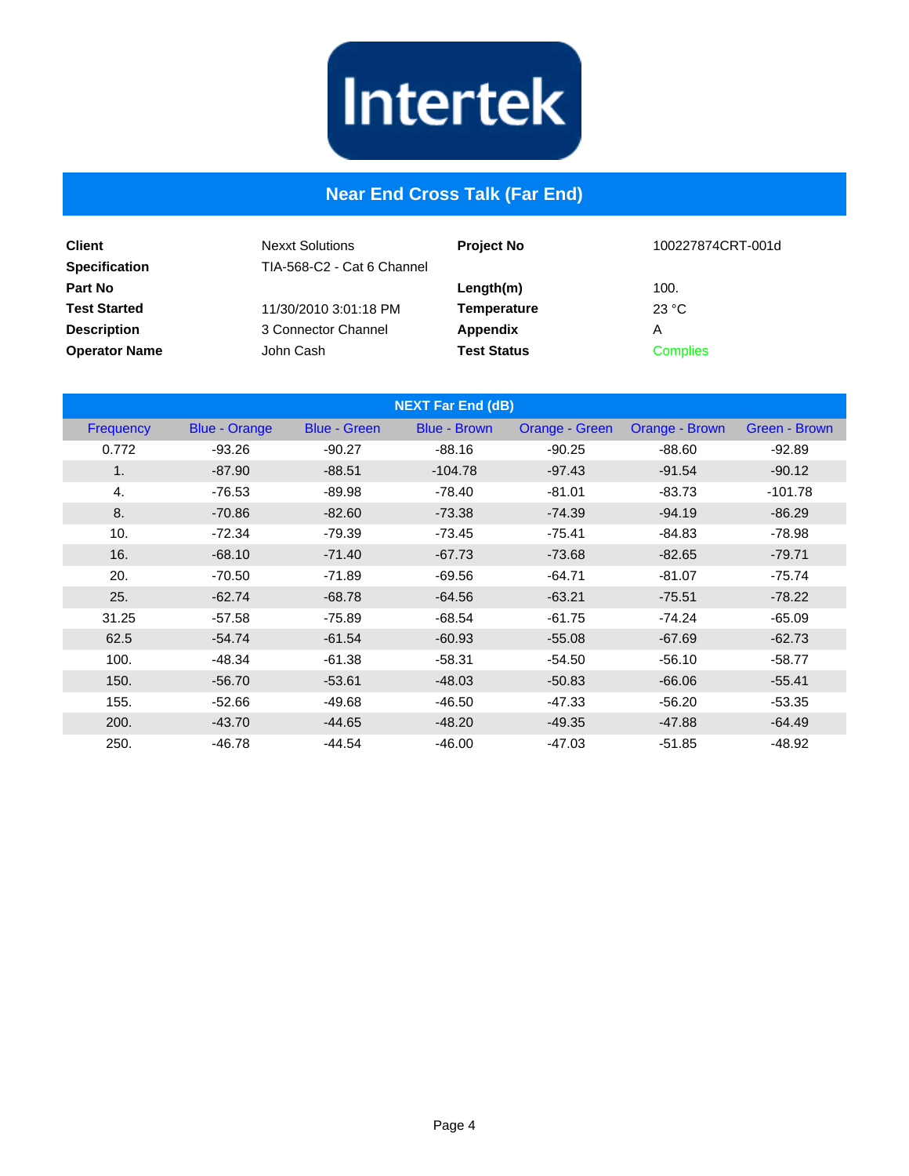

## **Near End Cross Talk (Far End)**

| <b>Client</b><br><b>Specification</b> | <b>Nexxt Solutions</b><br>TIA-568-C2 - Cat 6 Channel | <b>Project No</b>  | 100227874CRT-001d |
|---------------------------------------|------------------------------------------------------|--------------------|-------------------|
| <b>Part No</b>                        |                                                      | Length(m)          | 100.              |
| <b>Test Started</b>                   | 11/30/2010 3:01:18 PM                                | <b>Temperature</b> | 23 °C             |
| <b>Description</b>                    | 3 Connector Channel                                  | Appendix           | Α                 |
| <b>Operator Name</b>                  | John Cash                                            | <b>Test Status</b> | <b>Complies</b>   |

| <b>NEXT Far End (dB)</b> |                      |                     |                     |                |                |               |
|--------------------------|----------------------|---------------------|---------------------|----------------|----------------|---------------|
| Frequency                | <b>Blue - Orange</b> | <b>Blue - Green</b> | <b>Blue - Brown</b> | Orange - Green | Orange - Brown | Green - Brown |
| 0.772                    | $-93.26$             | $-90.27$            | $-88.16$            | $-90.25$       | $-88.60$       | $-92.89$      |
| 1.                       | $-87.90$             | $-88.51$            | $-104.78$           | $-97.43$       | $-91.54$       | $-90.12$      |
| 4.                       | $-76.53$             | $-89.98$            | $-78.40$            | $-81.01$       | $-83.73$       | $-101.78$     |
| 8.                       | $-70.86$             | $-82.60$            | $-73.38$            | $-74.39$       | $-94.19$       | $-86.29$      |
| 10.                      | $-72.34$             | $-79.39$            | $-73.45$            | $-75.41$       | $-84.83$       | $-78.98$      |
| 16.                      | $-68.10$             | $-71.40$            | $-67.73$            | $-73.68$       | $-82.65$       | $-79.71$      |
| 20.                      | $-70.50$             | $-71.89$            | $-69.56$            | $-64.71$       | $-81.07$       | $-75.74$      |
| 25.                      | $-62.74$             | $-68.78$            | $-64.56$            | $-63.21$       | $-75.51$       | $-78.22$      |
| 31.25                    | $-57.58$             | $-75.89$            | $-68.54$            | $-61.75$       | $-74.24$       | $-65.09$      |
| 62.5                     | $-54.74$             | $-61.54$            | $-60.93$            | $-55.08$       | $-67.69$       | $-62.73$      |
| 100.                     | $-48.34$             | $-61.38$            | $-58.31$            | $-54.50$       | $-56.10$       | $-58.77$      |
| 150.                     | $-56.70$             | $-53.61$            | $-48.03$            | $-50.83$       | $-66.06$       | $-55.41$      |
| 155.                     | $-52.66$             | $-49.68$            | $-46.50$            | $-47.33$       | $-56.20$       | $-53.35$      |
| 200.                     | $-43.70$             | $-44.65$            | $-48.20$            | $-49.35$       | $-47.88$       | $-64.49$      |
| 250.                     | $-46.78$             | $-44.54$            | $-46.00$            | $-47.03$       | $-51.85$       | $-48.92$      |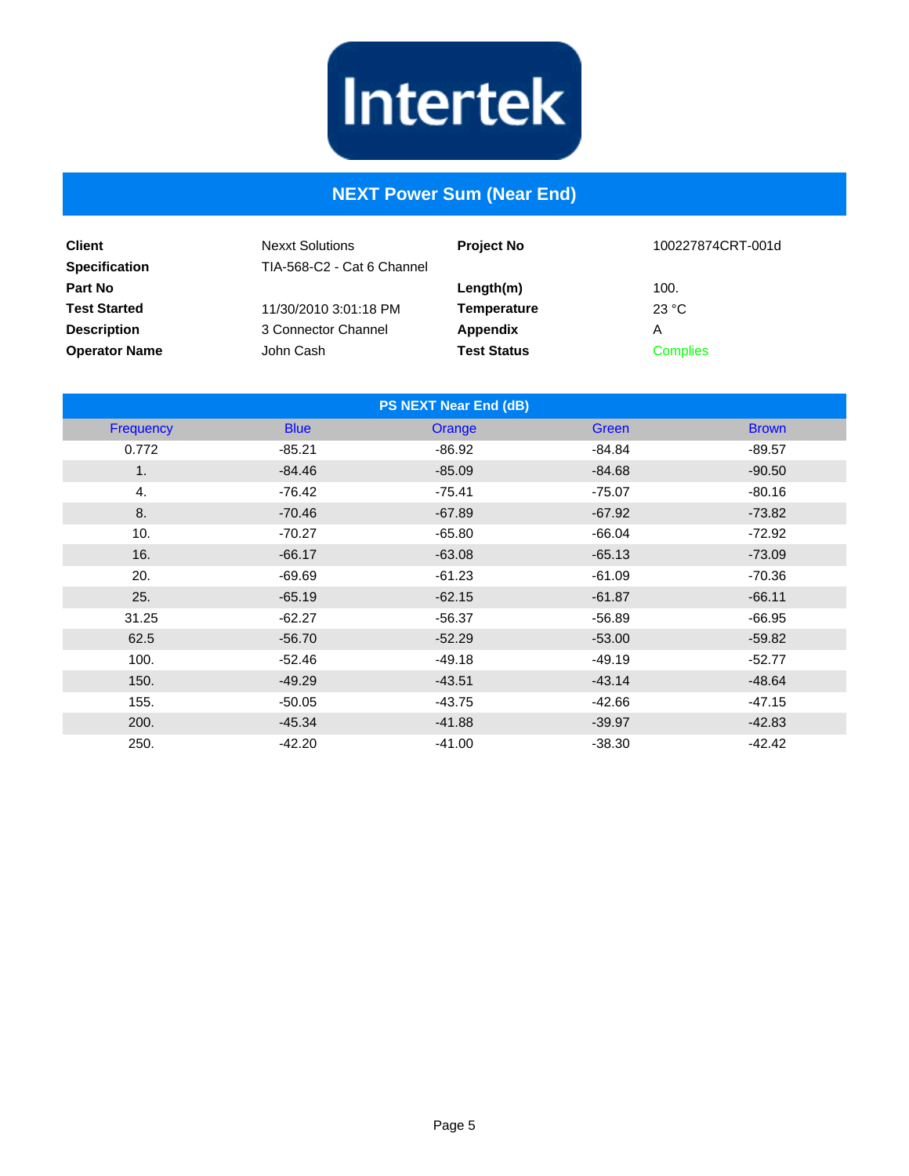

## **NEXT Power Sum (Near End)**

| <b>Client</b><br><b>Specification</b> | <b>Nexxt Solutions</b><br>TIA-568-C2 - Cat 6 Channel | <b>Project No</b>  | 100227874CRT-001d |
|---------------------------------------|------------------------------------------------------|--------------------|-------------------|
| <b>Part No</b>                        |                                                      | Length(m)          | 100.              |
| <b>Test Started</b>                   | 11/30/2010 3:01:18 PM                                | Temperature        | 23 °C             |
| <b>Description</b>                    | 3 Connector Channel                                  | Appendix           | Α                 |
| <b>Operator Name</b>                  | John Cash                                            | <b>Test Status</b> | <b>Complies</b>   |

| <b>PS NEXT Near End (dB)</b> |             |          |          |              |  |
|------------------------------|-------------|----------|----------|--------------|--|
| Frequency                    | <b>Blue</b> | Orange   | Green    | <b>Brown</b> |  |
| 0.772                        | $-85.21$    | $-86.92$ | $-84.84$ | $-89.57$     |  |
| 1 <sub>1</sub>               | $-84.46$    | $-85.09$ | $-84.68$ | $-90.50$     |  |
| 4.                           | $-76.42$    | $-75.41$ | $-75.07$ | $-80.16$     |  |
| 8.                           | $-70.46$    | $-67.89$ | $-67.92$ | $-73.82$     |  |
| 10.                          | $-70.27$    | $-65.80$ | $-66.04$ | $-72.92$     |  |
| 16.                          | $-66.17$    | $-63.08$ | $-65.13$ | $-73.09$     |  |
| 20.                          | $-69.69$    | $-61.23$ | $-61.09$ | $-70.36$     |  |
| 25.                          | $-65.19$    | $-62.15$ | $-61.87$ | $-66.11$     |  |
| 31.25                        | $-62.27$    | $-56.37$ | $-56.89$ | $-66.95$     |  |
| 62.5                         | $-56.70$    | $-52.29$ | $-53.00$ | $-59.82$     |  |
| 100.                         | $-52.46$    | $-49.18$ | $-49.19$ | $-52.77$     |  |
| 150.                         | $-49.29$    | $-43.51$ | $-43.14$ | $-48.64$     |  |
| 155.                         | $-50.05$    | $-43.75$ | $-42.66$ | $-47.15$     |  |
| 200.                         | $-45.34$    | $-41.88$ | $-39.97$ | $-42.83$     |  |
| 250.                         | $-42.20$    | $-41.00$ | $-38.30$ | $-42.42$     |  |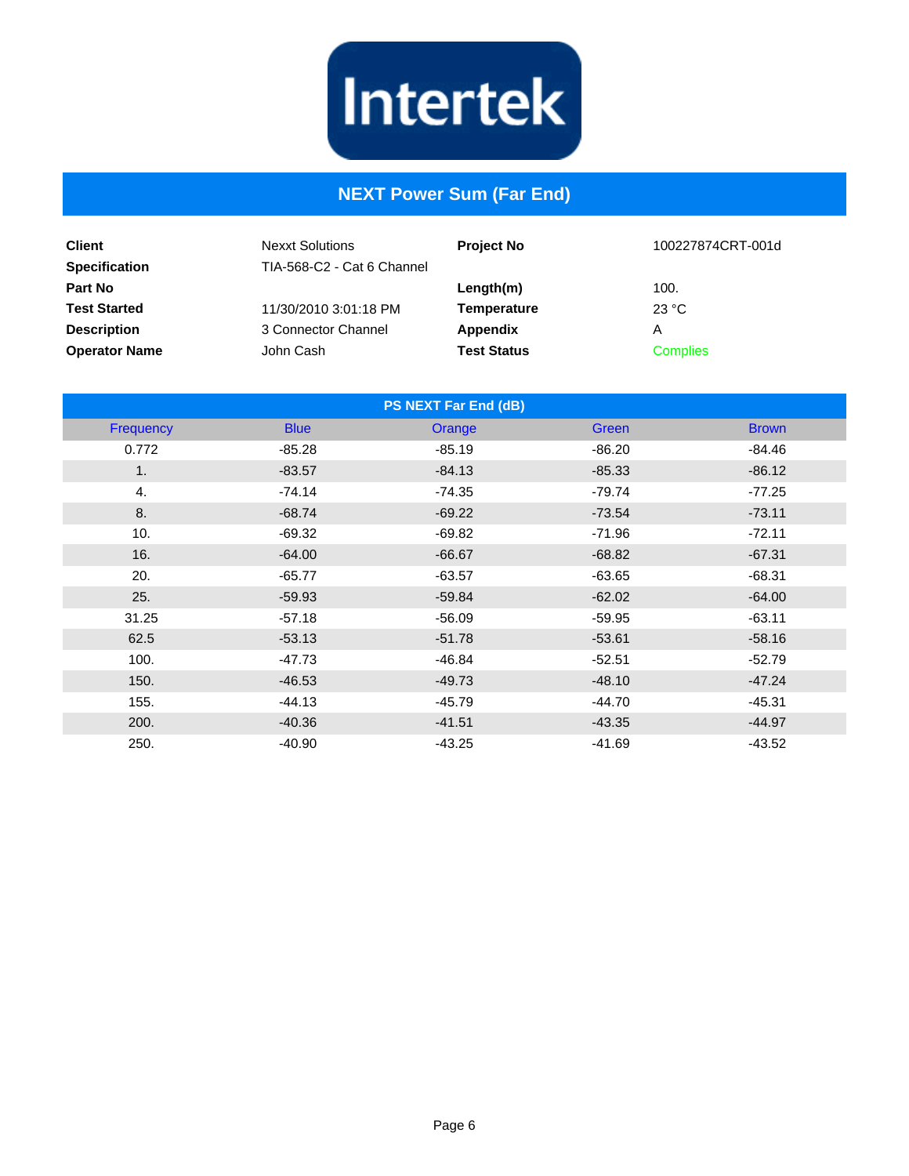

# **NEXT Power Sum (Far End)**

| <b>Client</b><br><b>Specification</b> | <b>Nexxt Solutions</b><br>TIA-568-C2 - Cat 6 Channel | <b>Project No</b>  | 100227874CRT-001d |
|---------------------------------------|------------------------------------------------------|--------------------|-------------------|
| Part No                               |                                                      | Length(m)          | 100.              |
| <b>Test Started</b>                   | 11/30/2010 3:01:18 PM                                | Temperature        | 23 °C             |
| <b>Description</b>                    | 3 Connector Channel                                  | Appendix           | Α                 |
| <b>Operator Name</b>                  | John Cash                                            | <b>Test Status</b> | <b>Complies</b>   |

| <b>PS NEXT Far End (dB)</b> |             |          |              |              |
|-----------------------------|-------------|----------|--------------|--------------|
| Frequency                   | <b>Blue</b> | Orange   | <b>Green</b> | <b>Brown</b> |
| 0.772                       | $-85.28$    | $-85.19$ | $-86.20$     | $-84.46$     |
| 1.                          | $-83.57$    | $-84.13$ | $-85.33$     | $-86.12$     |
| 4.                          | $-74.14$    | $-74.35$ | $-79.74$     | $-77.25$     |
| 8.                          | $-68.74$    | $-69.22$ | $-73.54$     | $-73.11$     |
| 10.                         | $-69.32$    | $-69.82$ | $-71.96$     | $-72.11$     |
| 16.                         | $-64.00$    | $-66.67$ | $-68.82$     | $-67.31$     |
| 20.                         | $-65.77$    | $-63.57$ | $-63.65$     | $-68.31$     |
| 25.                         | $-59.93$    | $-59.84$ | $-62.02$     | $-64.00$     |
| 31.25                       | $-57.18$    | $-56.09$ | $-59.95$     | $-63.11$     |
| 62.5                        | $-53.13$    | $-51.78$ | $-53.61$     | $-58.16$     |
| 100.                        | $-47.73$    | $-46.84$ | $-52.51$     | $-52.79$     |
| 150.                        | $-46.53$    | $-49.73$ | $-48.10$     | $-47.24$     |
| 155.                        | $-44.13$    | $-45.79$ | $-44.70$     | $-45.31$     |
| 200.                        | $-40.36$    | $-41.51$ | $-43.35$     | $-44.97$     |
| 250.                        | $-40.90$    | $-43.25$ | $-41.69$     | $-43.52$     |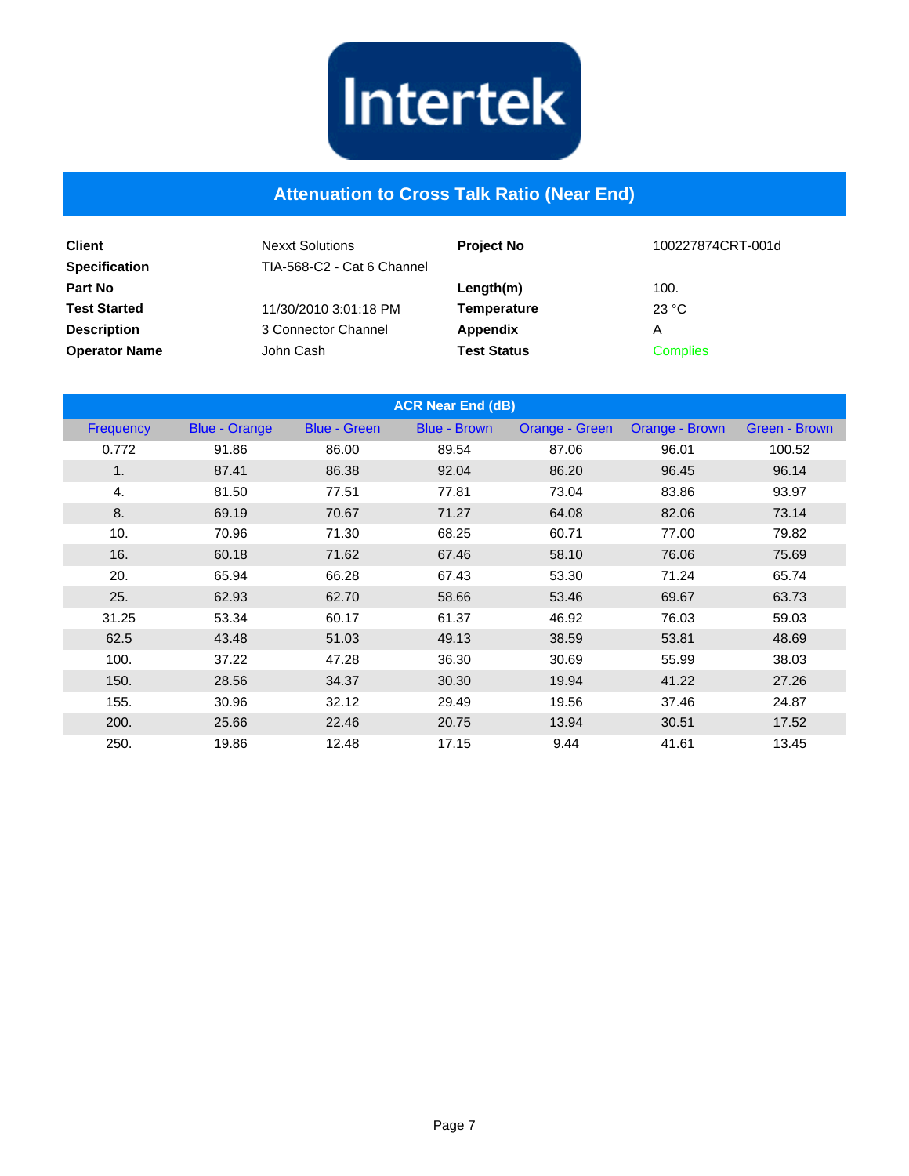

#### **Attenuation to Cross Talk Ratio (Near End)**

| <b>Client</b><br><b>Specification</b> | <b>Nexxt Solutions</b><br>TIA-568-C2 - Cat 6 Channel | <b>Project No</b>  | 100227874CRT-001d |
|---------------------------------------|------------------------------------------------------|--------------------|-------------------|
| <b>Part No</b>                        |                                                      | Length(m)          | 100.              |
| <b>Test Started</b>                   | 11/30/2010 3:01:18 PM                                | <b>Temperature</b> | 23 °C             |
| <b>Description</b>                    | 3 Connector Channel                                  | <b>Appendix</b>    | Α                 |
| <b>Operator Name</b>                  | John Cash                                            | <b>Test Status</b> | <b>Complies</b>   |

| <b>ACR Near End (dB)</b> |                      |                     |                     |                       |                |               |
|--------------------------|----------------------|---------------------|---------------------|-----------------------|----------------|---------------|
| Frequency                | <b>Blue - Orange</b> | <b>Blue - Green</b> | <b>Blue - Brown</b> | <b>Orange - Green</b> | Orange - Brown | Green - Brown |
| 0.772                    | 91.86                | 86.00               | 89.54               | 87.06                 | 96.01          | 100.52        |
| 1.                       | 87.41                | 86.38               | 92.04               | 86.20                 | 96.45          | 96.14         |
| 4.                       | 81.50                | 77.51               | 77.81               | 73.04                 | 83.86          | 93.97         |
| 8.                       | 69.19                | 70.67               | 71.27               | 64.08                 | 82.06          | 73.14         |
| 10.                      | 70.96                | 71.30               | 68.25               | 60.71                 | 77.00          | 79.82         |
| 16.                      | 60.18                | 71.62               | 67.46               | 58.10                 | 76.06          | 75.69         |
| 20.                      | 65.94                | 66.28               | 67.43               | 53.30                 | 71.24          | 65.74         |
| 25.                      | 62.93                | 62.70               | 58.66               | 53.46                 | 69.67          | 63.73         |
| 31.25                    | 53.34                | 60.17               | 61.37               | 46.92                 | 76.03          | 59.03         |
| 62.5                     | 43.48                | 51.03               | 49.13               | 38.59                 | 53.81          | 48.69         |
| 100.                     | 37.22                | 47.28               | 36.30               | 30.69                 | 55.99          | 38.03         |
| 150.                     | 28.56                | 34.37               | 30.30               | 19.94                 | 41.22          | 27.26         |
| 155.                     | 30.96                | 32.12               | 29.49               | 19.56                 | 37.46          | 24.87         |
| 200.                     | 25.66                | 22.46               | 20.75               | 13.94                 | 30.51          | 17.52         |
| 250.                     | 19.86                | 12.48               | 17.15               | 9.44                  | 41.61          | 13.45         |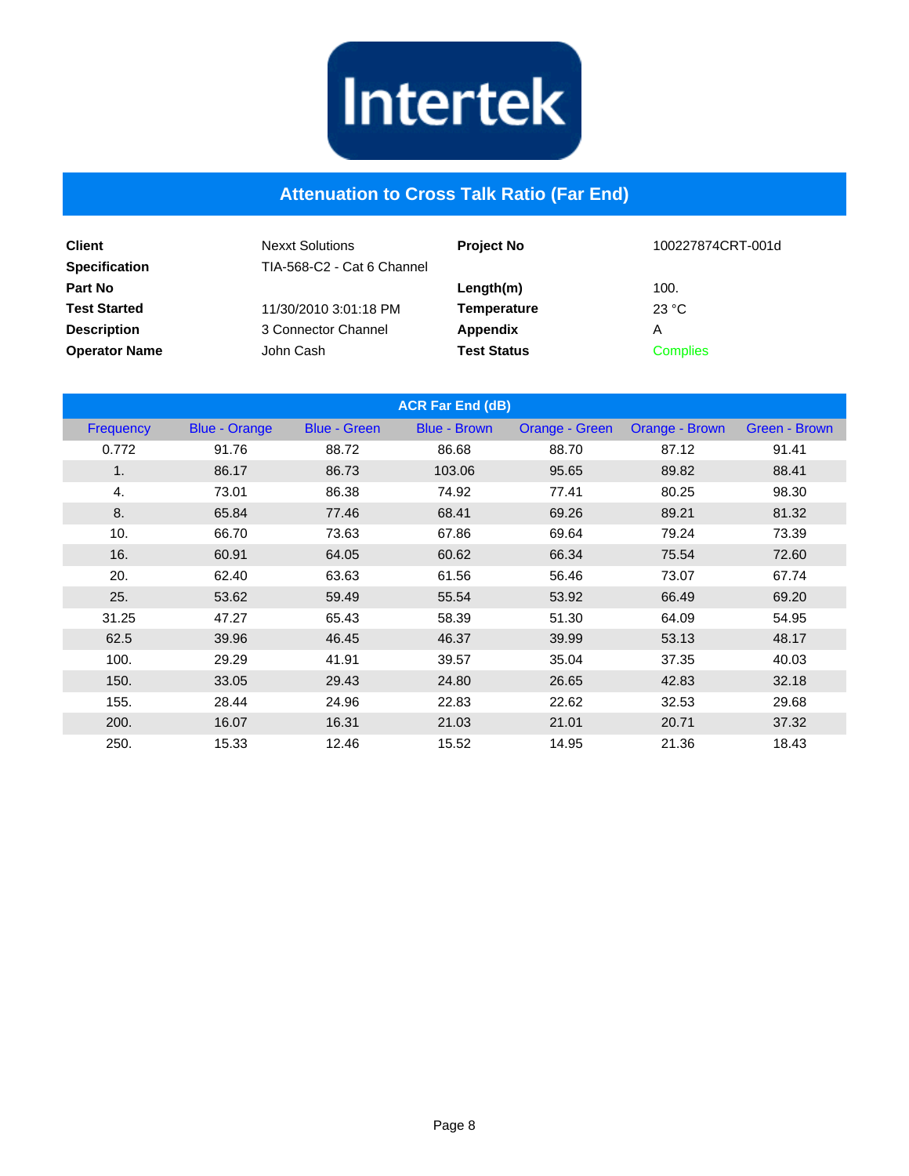

#### **Attenuation to Cross Talk Ratio (Far End)**

| <b>Client</b><br><b>Specification</b> | <b>Nexxt Solutions</b><br>TIA-568-C2 - Cat 6 Channel | <b>Project No</b>  | 100227874CRT-001d |
|---------------------------------------|------------------------------------------------------|--------------------|-------------------|
| Part No                               |                                                      | Length(m)          | 100.              |
| <b>Test Started</b>                   | 11/30/2010 3:01:18 PM                                | <b>Temperature</b> | 23 °C             |
| <b>Description</b>                    | 3 Connector Channel                                  | <b>Appendix</b>    | Α                 |
| <b>Operator Name</b>                  | John Cash                                            | <b>Test Status</b> | <b>Complies</b>   |

| <b>ACR Far End (dB)</b> |                      |                     |                     |                       |                |               |
|-------------------------|----------------------|---------------------|---------------------|-----------------------|----------------|---------------|
| <b>Frequency</b>        | <b>Blue - Orange</b> | <b>Blue - Green</b> | <b>Blue - Brown</b> | <b>Orange - Green</b> | Orange - Brown | Green - Brown |
| 0.772                   | 91.76                | 88.72               | 86.68               | 88.70                 | 87.12          | 91.41         |
| 1.                      | 86.17                | 86.73               | 103.06              | 95.65                 | 89.82          | 88.41         |
| 4.                      | 73.01                | 86.38               | 74.92               | 77.41                 | 80.25          | 98.30         |
| 8.                      | 65.84                | 77.46               | 68.41               | 69.26                 | 89.21          | 81.32         |
| 10.                     | 66.70                | 73.63               | 67.86               | 69.64                 | 79.24          | 73.39         |
| 16.                     | 60.91                | 64.05               | 60.62               | 66.34                 | 75.54          | 72.60         |
| 20.                     | 62.40                | 63.63               | 61.56               | 56.46                 | 73.07          | 67.74         |
| 25.                     | 53.62                | 59.49               | 55.54               | 53.92                 | 66.49          | 69.20         |
| 31.25                   | 47.27                | 65.43               | 58.39               | 51.30                 | 64.09          | 54.95         |
| 62.5                    | 39.96                | 46.45               | 46.37               | 39.99                 | 53.13          | 48.17         |
| 100.                    | 29.29                | 41.91               | 39.57               | 35.04                 | 37.35          | 40.03         |
| 150.                    | 33.05                | 29.43               | 24.80               | 26.65                 | 42.83          | 32.18         |
| 155.                    | 28.44                | 24.96               | 22.83               | 22.62                 | 32.53          | 29.68         |
| 200.                    | 16.07                | 16.31               | 21.03               | 21.01                 | 20.71          | 37.32         |
| 250.                    | 15.33                | 12.46               | 15.52               | 14.95                 | 21.36          | 18.43         |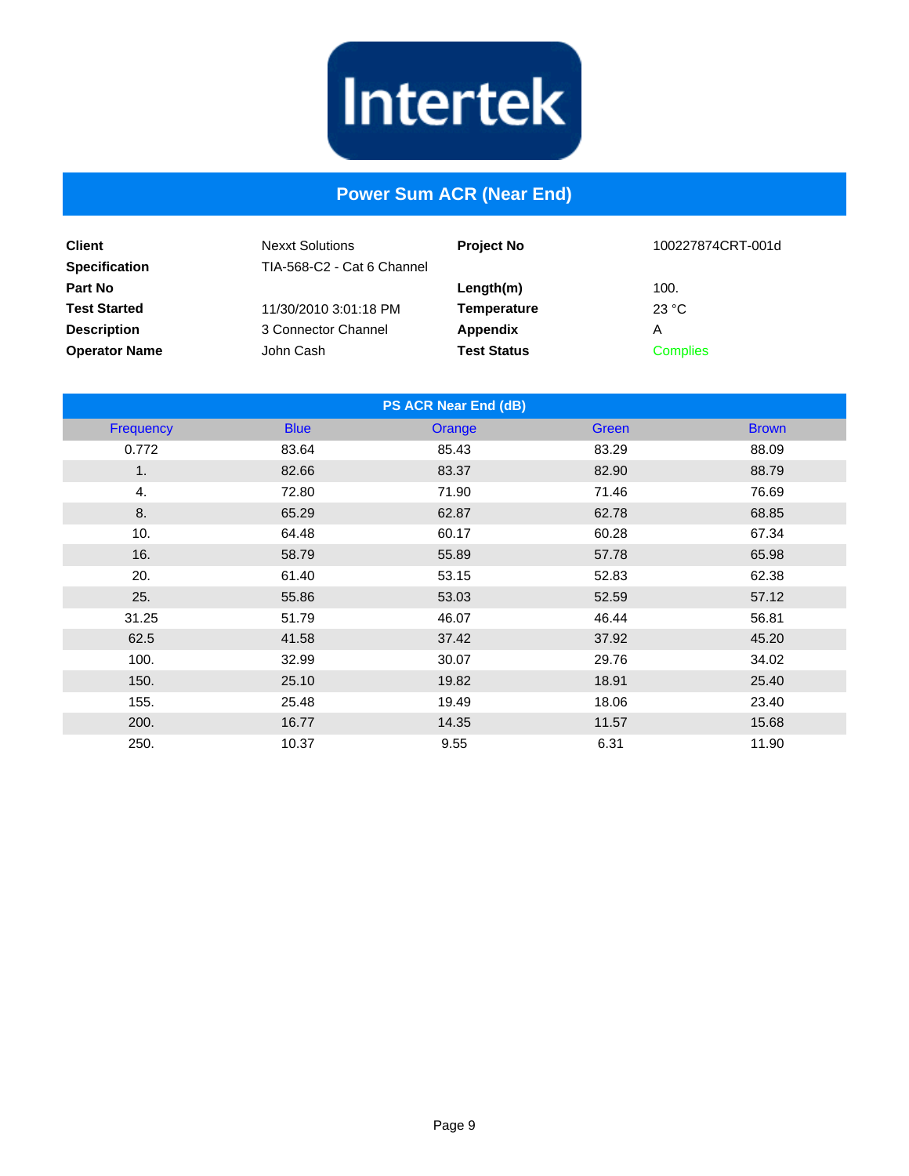

#### **Power Sum ACR (Near End)**

| <b>Client</b><br><b>Specification</b> | <b>Nexxt Solutions</b><br>TIA-568-C2 - Cat 6 Channel | <b>Project No</b>  | 100227874CRT-001d |
|---------------------------------------|------------------------------------------------------|--------------------|-------------------|
| Part No                               |                                                      | $L$ ength $(m)$    | 100.              |
| <b>Test Started</b>                   | 11/30/2010 3:01:18 PM                                | Temperature        | 23 °C             |
| <b>Description</b>                    | 3 Connector Channel                                  | Appendix           | Α                 |
| <b>Operator Name</b>                  | John Cash                                            | <b>Test Status</b> | <b>Complies</b>   |

| PS ACR Near End (dB) |             |        |       |              |
|----------------------|-------------|--------|-------|--------------|
| <b>Frequency</b>     | <b>Blue</b> | Orange | Green | <b>Brown</b> |
| 0.772                | 83.64       | 85.43  | 83.29 | 88.09        |
| 1.                   | 82.66       | 83.37  | 82.90 | 88.79        |
| 4.                   | 72.80       | 71.90  | 71.46 | 76.69        |
| 8.                   | 65.29       | 62.87  | 62.78 | 68.85        |
| 10.                  | 64.48       | 60.17  | 60.28 | 67.34        |
| 16.                  | 58.79       | 55.89  | 57.78 | 65.98        |
| 20.                  | 61.40       | 53.15  | 52.83 | 62.38        |
| 25.                  | 55.86       | 53.03  | 52.59 | 57.12        |
| 31.25                | 51.79       | 46.07  | 46.44 | 56.81        |
| 62.5                 | 41.58       | 37.42  | 37.92 | 45.20        |
| 100.                 | 32.99       | 30.07  | 29.76 | 34.02        |
| 150.                 | 25.10       | 19.82  | 18.91 | 25.40        |
| 155.                 | 25.48       | 19.49  | 18.06 | 23.40        |
| 200.                 | 16.77       | 14.35  | 11.57 | 15.68        |
| 250.                 | 10.37       | 9.55   | 6.31  | 11.90        |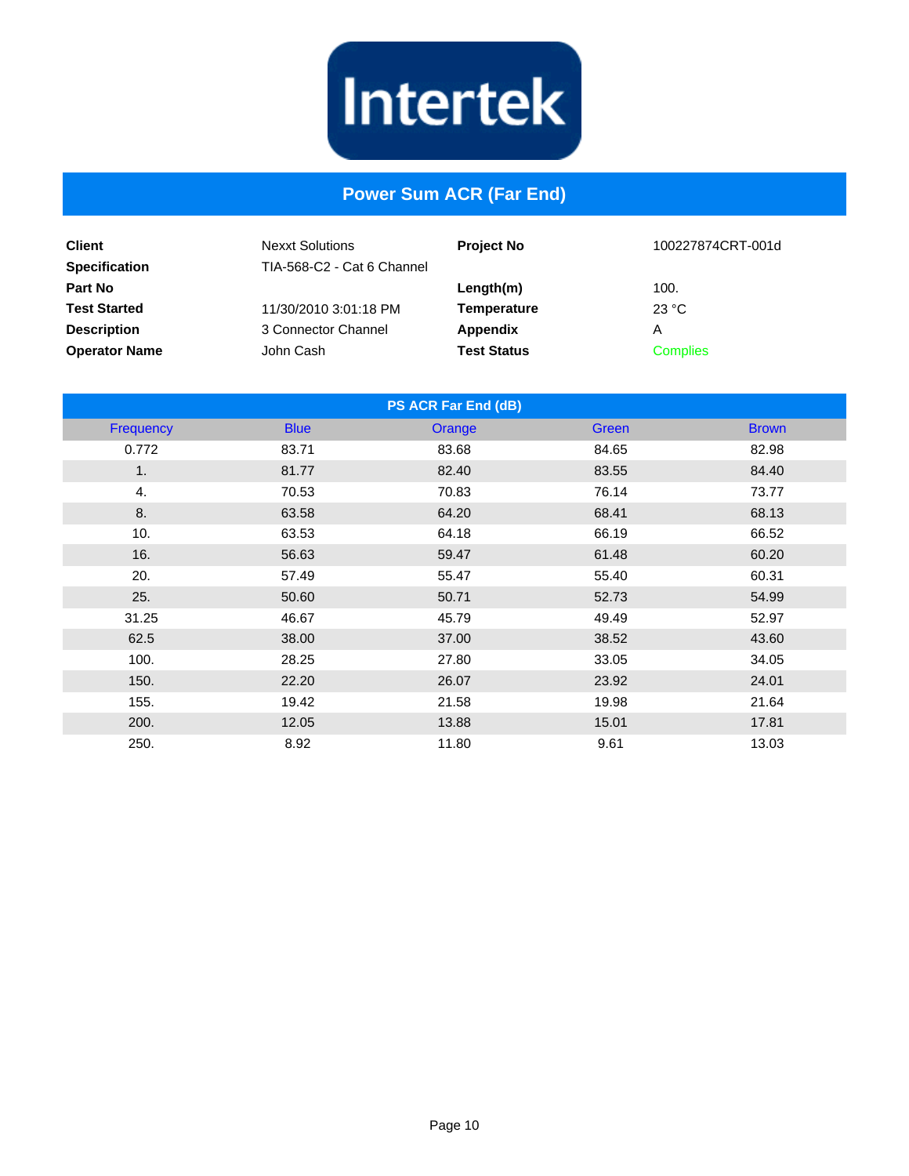

#### **Power Sum ACR (Far End)**

| <b>Client</b><br><b>Specification</b> | <b>Nexxt Solutions</b><br>TIA-568-C2 - Cat 6 Channel | <b>Project No</b>  | 100227874CRT-001d |
|---------------------------------------|------------------------------------------------------|--------------------|-------------------|
| <b>Part No</b>                        |                                                      | Length(m)          | 100.              |
| <b>Test Started</b>                   | 11/30/2010 3:01:18 PM                                | Temperature        | 23 °C             |
| <b>Description</b>                    | 3 Connector Channel                                  | Appendix           | A                 |
| <b>Operator Name</b>                  | John Cash                                            | <b>Test Status</b> | <b>Complies</b>   |

| PS ACR Far End (dB) |             |        |              |              |  |
|---------------------|-------------|--------|--------------|--------------|--|
| Frequency           | <b>Blue</b> | Orange | <b>Green</b> | <b>Brown</b> |  |
| 0.772               | 83.71       | 83.68  | 84.65        | 82.98        |  |
| 1 <sub>1</sub>      | 81.77       | 82.40  | 83.55        | 84.40        |  |
| 4.                  | 70.53       | 70.83  | 76.14        | 73.77        |  |
| 8.                  | 63.58       | 64.20  | 68.41        | 68.13        |  |
| 10.                 | 63.53       | 64.18  | 66.19        | 66.52        |  |
| 16.                 | 56.63       | 59.47  | 61.48        | 60.20        |  |
| 20.                 | 57.49       | 55.47  | 55.40        | 60.31        |  |
| 25.                 | 50.60       | 50.71  | 52.73        | 54.99        |  |
| 31.25               | 46.67       | 45.79  | 49.49        | 52.97        |  |
| 62.5                | 38.00       | 37.00  | 38.52        | 43.60        |  |
| 100.                | 28.25       | 27.80  | 33.05        | 34.05        |  |
| 150.                | 22.20       | 26.07  | 23.92        | 24.01        |  |
| 155.                | 19.42       | 21.58  | 19.98        | 21.64        |  |
| 200.                | 12.05       | 13.88  | 15.01        | 17.81        |  |
| 250.                | 8.92        | 11.80  | 9.61         | 13.03        |  |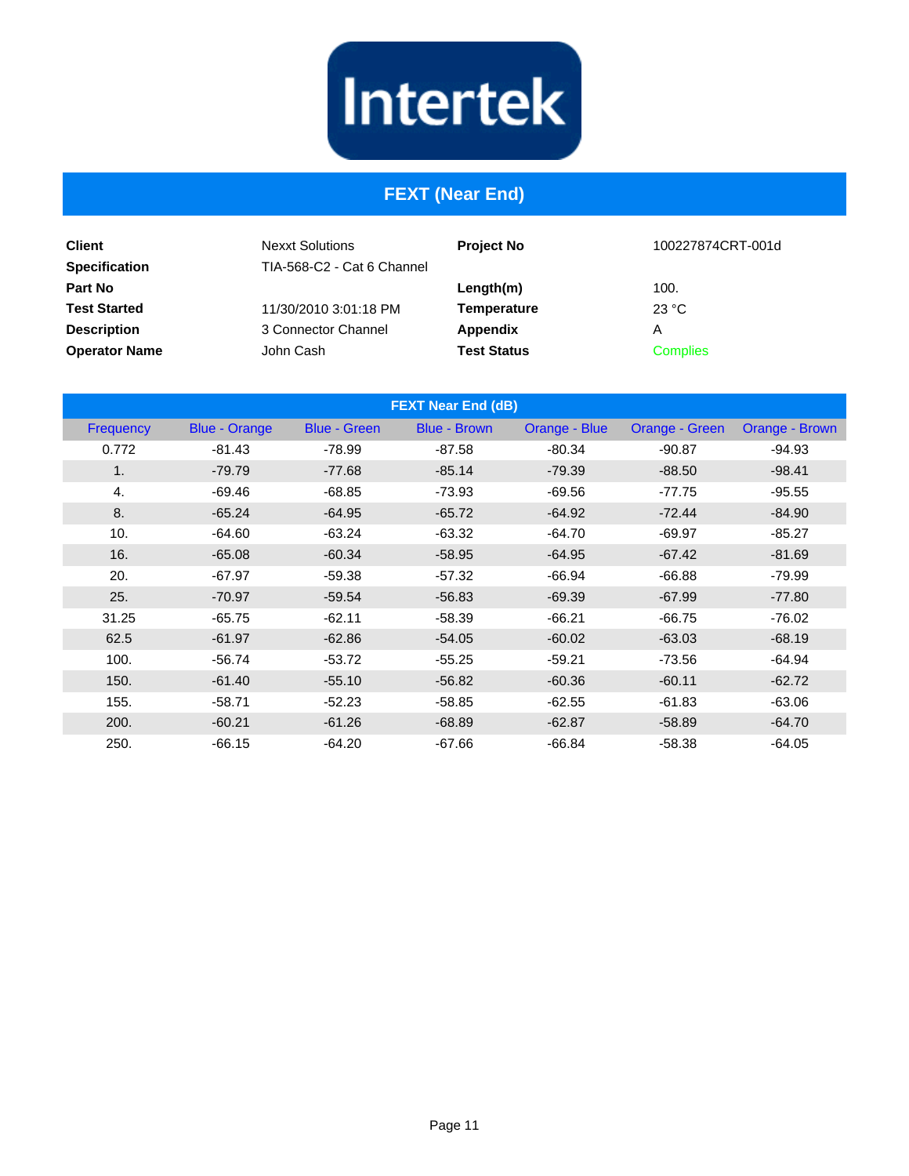# Intertek

# **FEXT (Near End)**

| <b>Client</b><br><b>Specification</b> | <b>Nexxt Solutions</b><br>TIA-568-C2 - Cat 6 Channel | <b>Project No</b>  | 100227874CRT-001d |
|---------------------------------------|------------------------------------------------------|--------------------|-------------------|
| <b>Part No</b>                        |                                                      | Length(m)          | 100.              |
| <b>Test Started</b>                   | 11/30/2010 3:01:18 PM                                | <b>Temperature</b> | 23 °C             |
| <b>Description</b>                    | 3 Connector Channel                                  | Appendix           | Α                 |
| <b>Operator Name</b>                  | John Cash                                            | <b>Test Status</b> | <b>Complies</b>   |

| <b>FEXT Near End (dB)</b> |                      |                     |                     |               |                |                |
|---------------------------|----------------------|---------------------|---------------------|---------------|----------------|----------------|
| <b>Frequency</b>          | <b>Blue - Orange</b> | <b>Blue - Green</b> | <b>Blue - Brown</b> | Orange - Blue | Orange - Green | Orange - Brown |
| 0.772                     | $-81.43$             | $-78.99$            | $-87.58$            | $-80.34$      | $-90.87$       | $-94.93$       |
| 1.                        | $-79.79$             | $-77.68$            | $-85.14$            | $-79.39$      | $-88.50$       | $-98.41$       |
| 4.                        | $-69.46$             | $-68.85$            | $-73.93$            | $-69.56$      | $-77.75$       | $-95.55$       |
| 8.                        | $-65.24$             | $-64.95$            | $-65.72$            | $-64.92$      | $-72.44$       | $-84.90$       |
| 10.                       | $-64.60$             | $-63.24$            | $-63.32$            | $-64.70$      | $-69.97$       | $-85.27$       |
| 16.                       | $-65.08$             | $-60.34$            | $-58.95$            | $-64.95$      | $-67.42$       | $-81.69$       |
| 20.                       | $-67.97$             | $-59.38$            | $-57.32$            | $-66.94$      | $-66.88$       | $-79.99$       |
| 25.                       | $-70.97$             | $-59.54$            | $-56.83$            | $-69.39$      | $-67.99$       | $-77.80$       |
| 31.25                     | $-65.75$             | $-62.11$            | $-58.39$            | $-66.21$      | $-66.75$       | $-76.02$       |
| 62.5                      | $-61.97$             | $-62.86$            | $-54.05$            | $-60.02$      | $-63.03$       | $-68.19$       |
| 100.                      | $-56.74$             | $-53.72$            | $-55.25$            | $-59.21$      | $-73.56$       | $-64.94$       |
| 150.                      | $-61.40$             | $-55.10$            | $-56.82$            | $-60.36$      | $-60.11$       | $-62.72$       |
| 155.                      | $-58.71$             | $-52.23$            | $-58.85$            | $-62.55$      | $-61.83$       | $-63.06$       |
| 200.                      | $-60.21$             | $-61.26$            | $-68.89$            | $-62.87$      | $-58.89$       | $-64.70$       |
| 250.                      | $-66.15$             | $-64.20$            | $-67.66$            | $-66.84$      | $-58.38$       | $-64.05$       |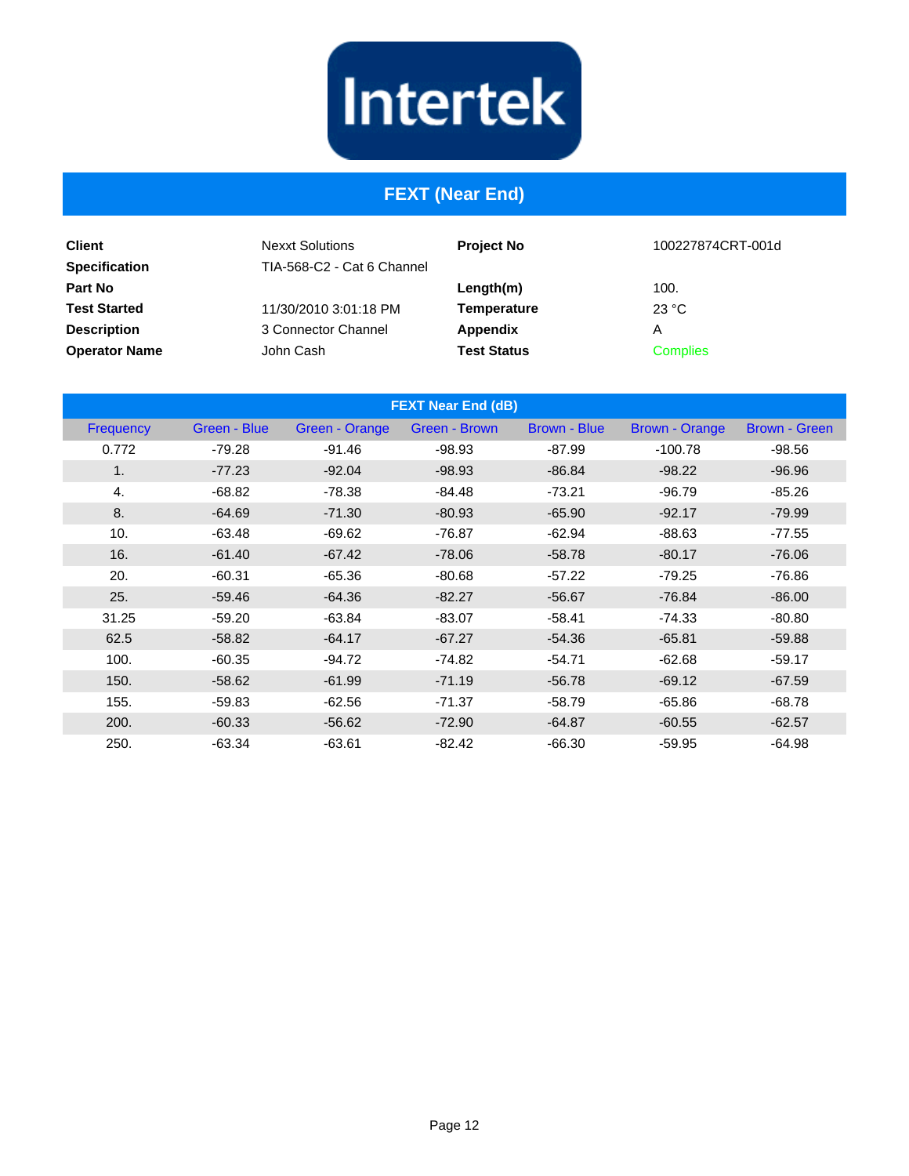# Intertek

#### **FEXT (Near End)**

| <b>Client</b><br><b>Specification</b> | <b>Nexxt Solutions</b><br>TIA-568-C2 - Cat 6 Channel | <b>Project No</b>  | 100227874CRT-001d |
|---------------------------------------|------------------------------------------------------|--------------------|-------------------|
| <b>Part No</b>                        |                                                      | Length(m)          | 100.              |
| <b>Test Started</b>                   | 11/30/2010 3:01:18 PM                                | Temperature        | 23 °C             |
| <b>Description</b>                    | 3 Connector Channel                                  | Appendix           | Α                 |
| <b>Operator Name</b>                  | John Cash                                            | <b>Test Status</b> | <b>Complies</b>   |

| <b>FEXT Near End (dB)</b> |              |                |               |              |                       |                      |
|---------------------------|--------------|----------------|---------------|--------------|-----------------------|----------------------|
| Frequency                 | Green - Blue | Green - Orange | Green - Brown | Brown - Blue | <b>Brown - Orange</b> | <b>Brown - Green</b> |
| 0.772                     | $-79.28$     | $-91.46$       | $-98.93$      | $-87.99$     | $-100.78$             | $-98.56$             |
| 1.                        | $-77.23$     | $-92.04$       | $-98.93$      | $-86.84$     | $-98.22$              | $-96.96$             |
| 4.                        | $-68.82$     | $-78.38$       | $-84.48$      | $-73.21$     | $-96.79$              | $-85.26$             |
| 8.                        | $-64.69$     | $-71.30$       | $-80.93$      | $-65.90$     | $-92.17$              | $-79.99$             |
| 10.                       | $-63.48$     | $-69.62$       | $-76.87$      | $-62.94$     | $-88.63$              | $-77.55$             |
| 16.                       | $-61.40$     | $-67.42$       | $-78.06$      | $-58.78$     | $-80.17$              | $-76.06$             |
| 20.                       | $-60.31$     | $-65.36$       | $-80.68$      | $-57.22$     | $-79.25$              | $-76.86$             |
| 25.                       | $-59.46$     | $-64.36$       | $-82.27$      | $-56.67$     | $-76.84$              | $-86.00$             |
| 31.25                     | $-59.20$     | $-63.84$       | $-83.07$      | $-58.41$     | $-74.33$              | $-80.80$             |
| 62.5                      | $-58.82$     | $-64.17$       | $-67.27$      | $-54.36$     | $-65.81$              | $-59.88$             |
| 100.                      | $-60.35$     | $-94.72$       | $-74.82$      | $-54.71$     | $-62.68$              | $-59.17$             |
| 150.                      | $-58.62$     | $-61.99$       | $-71.19$      | $-56.78$     | $-69.12$              | $-67.59$             |
| 155.                      | $-59.83$     | $-62.56$       | $-71.37$      | $-58.79$     | $-65.86$              | $-68.78$             |
| 200.                      | $-60.33$     | $-56.62$       | $-72.90$      | $-64.87$     | $-60.55$              | $-62.57$             |
| 250.                      | $-63.34$     | $-63.61$       | $-82.42$      | $-66.30$     | $-59.95$              | $-64.98$             |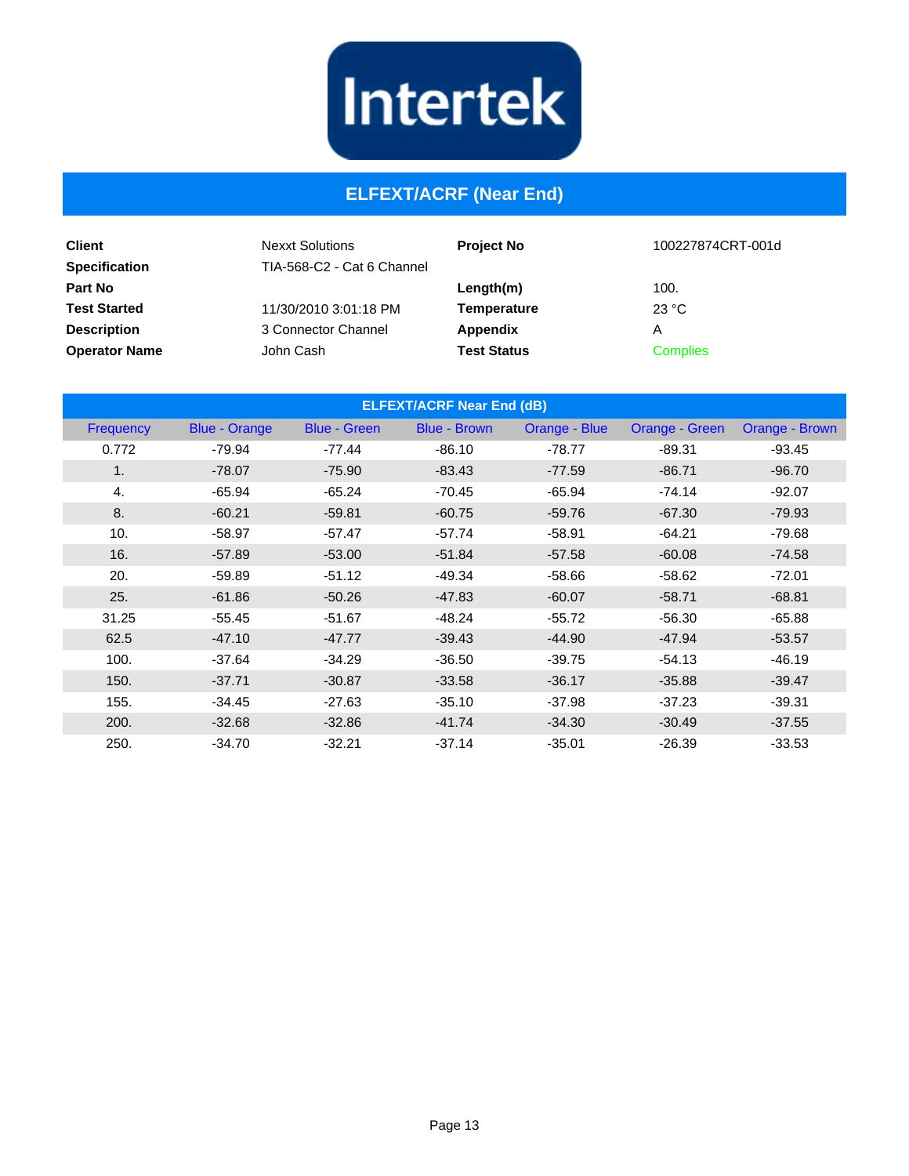

#### **ELFEXT/ACRF (Near End)**

| <b>Client</b><br><b>Specification</b> | <b>Nexxt Solutions</b><br>TIA-568-C2 - Cat 6 Channel | <b>Project No</b>  | 100227874CRT-001d |
|---------------------------------------|------------------------------------------------------|--------------------|-------------------|
| <b>Part No</b>                        |                                                      | Length(m)          | 100.              |
| <b>Test Started</b>                   | 11/30/2010 3:01:18 PM                                | Temperature        | 23 °C             |
| <b>Description</b>                    | 3 Connector Channel                                  | Appendix           | Α                 |
| <b>Operator Name</b>                  | John Cash                                            | <b>Test Status</b> | <b>Complies</b>   |

| <b>ELFEXT/ACRF Near End (dB)</b> |                      |                     |                     |               |                |                |
|----------------------------------|----------------------|---------------------|---------------------|---------------|----------------|----------------|
| <b>Frequency</b>                 | <b>Blue - Orange</b> | <b>Blue - Green</b> | <b>Blue - Brown</b> | Orange - Blue | Orange - Green | Orange - Brown |
| 0.772                            | $-79.94$             | $-77.44$            | $-86.10$            | $-78.77$      | $-89.31$       | $-93.45$       |
| 1.                               | $-78.07$             | $-75.90$            | $-83.43$            | $-77.59$      | $-86.71$       | $-96.70$       |
| 4.                               | $-65.94$             | $-65.24$            | $-70.45$            | $-65.94$      | $-74.14$       | $-92.07$       |
| 8.                               | $-60.21$             | $-59.81$            | $-60.75$            | $-59.76$      | $-67.30$       | $-79.93$       |
| 10.                              | $-58.97$             | $-57.47$            | $-57.74$            | $-58.91$      | $-64.21$       | $-79.68$       |
| 16.                              | $-57.89$             | $-53.00$            | $-51.84$            | $-57.58$      | $-60.08$       | $-74.58$       |
| 20.                              | $-59.89$             | $-51.12$            | $-49.34$            | $-58.66$      | $-58.62$       | $-72.01$       |
| 25.                              | $-61.86$             | $-50.26$            | $-47.83$            | $-60.07$      | $-58.71$       | $-68.81$       |
| 31.25                            | $-55.45$             | $-51.67$            | $-48.24$            | $-55.72$      | $-56.30$       | $-65.88$       |
| 62.5                             | $-47.10$             | $-47.77$            | $-39.43$            | $-44.90$      | $-47.94$       | $-53.57$       |
| 100.                             | $-37.64$             | $-34.29$            | $-36.50$            | $-39.75$      | $-54.13$       | $-46.19$       |
| 150.                             | $-37.71$             | $-30.87$            | $-33.58$            | $-36.17$      | $-35.88$       | $-39.47$       |
| 155.                             | $-34.45$             | $-27.63$            | $-35.10$            | $-37.98$      | $-37.23$       | $-39.31$       |
| 200.                             | $-32.68$             | $-32.86$            | $-41.74$            | $-34.30$      | $-30.49$       | $-37.55$       |
| 250.                             | $-34.70$             | $-32.21$            | $-37.14$            | $-35.01$      | $-26.39$       | $-33.53$       |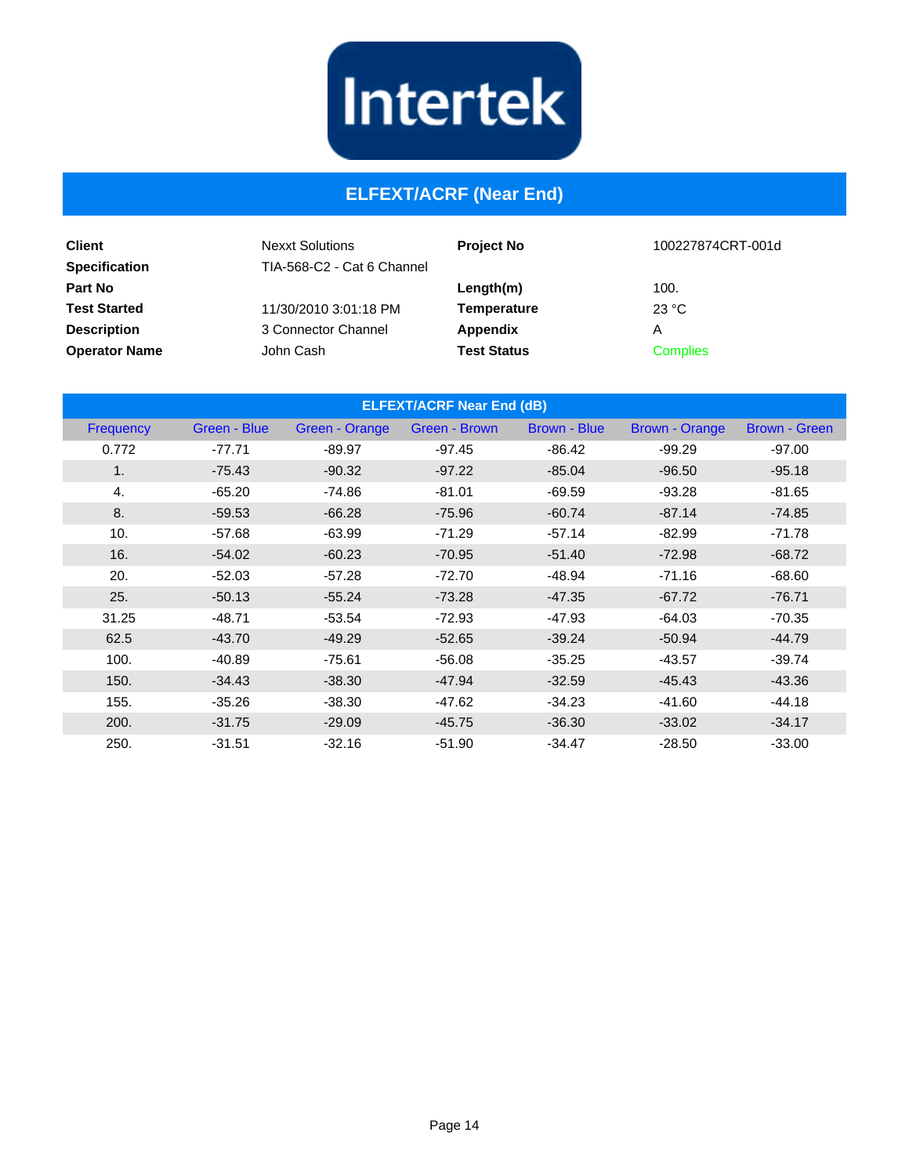

#### **ELFEXT/ACRF (Near End)**

| <b>Client</b><br><b>Specification</b> | <b>Nexxt Solutions</b><br>TIA-568-C2 - Cat 6 Channel | <b>Project No</b>  | 100227874CRT-001d |
|---------------------------------------|------------------------------------------------------|--------------------|-------------------|
| Part No                               |                                                      | Length(m)          | 100.              |
| <b>Test Started</b>                   | 11/30/2010 3:01:18 PM                                | Temperature        | 23 °C             |
| <b>Description</b>                    | 3 Connector Channel                                  | Appendix           | Α                 |
| <b>Operator Name</b>                  | John Cash                                            | <b>Test Status</b> | <b>Complies</b>   |

| <b>ELFEXT/ACRF Near End (dB)</b> |              |                |               |                     |                       |               |
|----------------------------------|--------------|----------------|---------------|---------------------|-----------------------|---------------|
| <b>Frequency</b>                 | Green - Blue | Green - Orange | Green - Brown | <b>Brown - Blue</b> | <b>Brown - Orange</b> | Brown - Green |
| 0.772                            | $-77.71$     | $-89.97$       | $-97.45$      | $-86.42$            | $-99.29$              | $-97.00$      |
| 1.                               | $-75.43$     | $-90.32$       | $-97.22$      | $-85.04$            | $-96.50$              | $-95.18$      |
| 4.                               | $-65.20$     | -74.86         | $-81.01$      | $-69.59$            | $-93.28$              | $-81.65$      |
| 8.                               | $-59.53$     | $-66.28$       | $-75.96$      | $-60.74$            | $-87.14$              | $-74.85$      |
| 10.                              | $-57.68$     | $-63.99$       | $-71.29$      | $-57.14$            | $-82.99$              | $-71.78$      |
| 16.                              | $-54.02$     | $-60.23$       | $-70.95$      | $-51.40$            | $-72.98$              | $-68.72$      |
| 20.                              | $-52.03$     | $-57.28$       | $-72.70$      | $-48.94$            | $-71.16$              | $-68.60$      |
| 25.                              | $-50.13$     | $-55.24$       | $-73.28$      | $-47.35$            | $-67.72$              | $-76.71$      |
| 31.25                            | $-48.71$     | $-53.54$       | $-72.93$      | $-47.93$            | $-64.03$              | $-70.35$      |
| 62.5                             | $-43.70$     | $-49.29$       | $-52.65$      | $-39.24$            | $-50.94$              | $-44.79$      |
| 100.                             | $-40.89$     | $-75.61$       | $-56.08$      | $-35.25$            | $-43.57$              | $-39.74$      |
| 150.                             | $-34.43$     | $-38.30$       | $-47.94$      | $-32.59$            | $-45.43$              | $-43.36$      |
| 155.                             | $-35.26$     | $-38.30$       | $-47.62$      | $-34.23$            | $-41.60$              | $-44.18$      |
| 200.                             | $-31.75$     | $-29.09$       | $-45.75$      | $-36.30$            | $-33.02$              | $-34.17$      |
| 250.                             | $-31.51$     | $-32.16$       | $-51.90$      | $-34.47$            | $-28.50$              | $-33.00$      |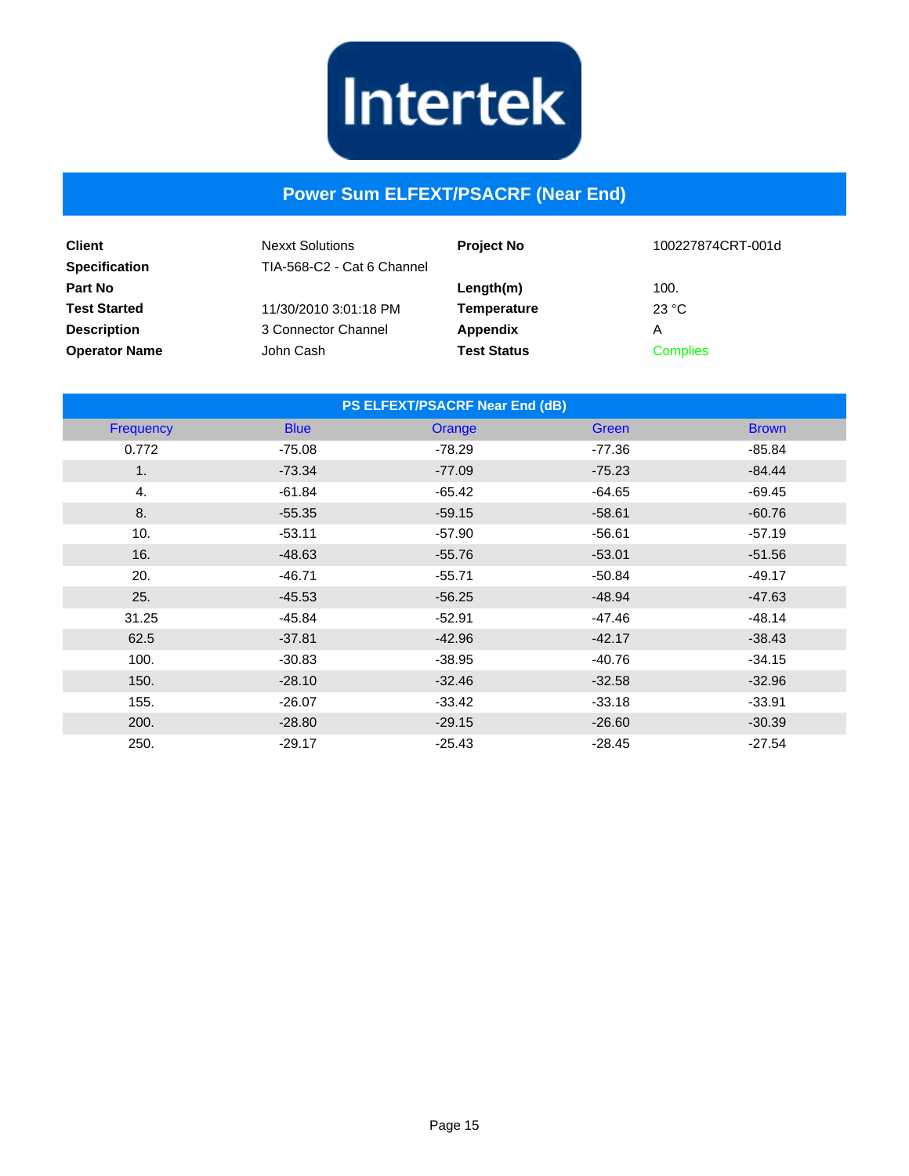

#### **Power Sum ELFEXT/PSACRF (Near End)**

| <b>Client</b><br><b>Specification</b> | <b>Nexxt Solutions</b><br>TIA-568-C2 - Cat 6 Channel | <b>Project No</b>  | 100227874CRT-001d |
|---------------------------------------|------------------------------------------------------|--------------------|-------------------|
| <b>Part No</b>                        |                                                      | Length(m)          | 100.              |
| <b>Test Started</b>                   | 11/30/2010 3:01:18 PM                                | <b>Temperature</b> | 23 °C             |
| <b>Description</b>                    | 3 Connector Channel                                  | Appendix           | А                 |
| <b>Operator Name</b>                  | John Cash                                            | <b>Test Status</b> | <b>Complies</b>   |

| PS ELFEXT/PSACRF Near End (dB) |             |          |          |              |  |
|--------------------------------|-------------|----------|----------|--------------|--|
| Frequency                      | <b>Blue</b> | Orange   | Green    | <b>Brown</b> |  |
| 0.772                          | $-75.08$    | $-78.29$ | $-77.36$ | $-85.84$     |  |
| 1 <sub>1</sub>                 | $-73.34$    | $-77.09$ | $-75.23$ | $-84.44$     |  |
| 4.                             | $-61.84$    | $-65.42$ | $-64.65$ | $-69.45$     |  |
| 8.                             | $-55.35$    | $-59.15$ | $-58.61$ | $-60.76$     |  |
| 10.                            | $-53.11$    | $-57.90$ | $-56.61$ | $-57.19$     |  |
| 16.                            | $-48.63$    | $-55.76$ | $-53.01$ | $-51.56$     |  |
| 20.                            | $-46.71$    | $-55.71$ | $-50.84$ | $-49.17$     |  |
| 25.                            | $-45.53$    | $-56.25$ | $-48.94$ | $-47.63$     |  |
| 31.25                          | $-45.84$    | $-52.91$ | $-47.46$ | $-48.14$     |  |
| 62.5                           | $-37.81$    | $-42.96$ | $-42.17$ | $-38.43$     |  |
| 100.                           | $-30.83$    | $-38.95$ | $-40.76$ | $-34.15$     |  |
| 150.                           | $-28.10$    | $-32.46$ | $-32.58$ | $-32.96$     |  |
| 155.                           | $-26.07$    | $-33.42$ | $-33.18$ | $-33.91$     |  |
| 200.                           | $-28.80$    | $-29.15$ | $-26.60$ | $-30.39$     |  |
| 250.                           | $-29.17$    | $-25.43$ | $-28.45$ | $-27.54$     |  |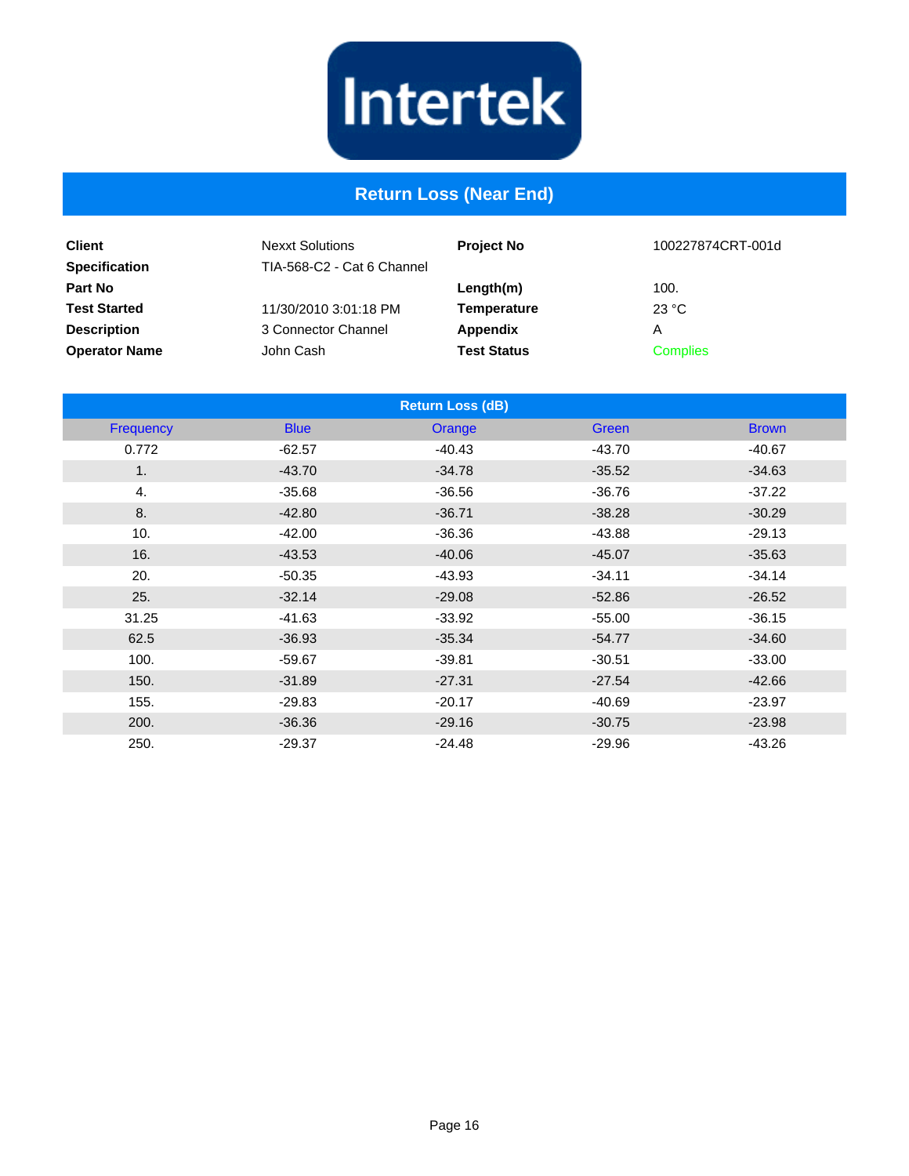

#### **Return Loss (Near End)**

| <b>Client</b><br><b>Specification</b> | <b>Nexxt Solutions</b><br>TIA-568-C2 - Cat 6 Channel | <b>Project No</b>  | 100227874CRT-001d |
|---------------------------------------|------------------------------------------------------|--------------------|-------------------|
| <b>Part No</b>                        |                                                      | Length(m)          | 100.              |
| <b>Test Started</b>                   | 11/30/2010 3:01:18 PM                                | Temperature        | 23 °C             |
| <b>Description</b>                    | 3 Connector Channel                                  | Appendix           | Α                 |
| <b>Operator Name</b>                  | John Cash                                            | <b>Test Status</b> | <b>Complies</b>   |

|                |             | <b>Return Loss (dB)</b> |              |              |
|----------------|-------------|-------------------------|--------------|--------------|
| Frequency      | <b>Blue</b> | Orange                  | <b>Green</b> | <b>Brown</b> |
| 0.772          | $-62.57$    | $-40.43$                | $-43.70$     | $-40.67$     |
| 1 <sub>1</sub> | $-43.70$    | $-34.78$                | $-35.52$     | $-34.63$     |
| 4.             | $-35.68$    | $-36.56$                | $-36.76$     | $-37.22$     |
| 8.             | $-42.80$    | $-36.71$                | $-38.28$     | $-30.29$     |
| 10.            | $-42.00$    | $-36.36$                | $-43.88$     | $-29.13$     |
| 16.            | $-43.53$    | $-40.06$                | $-45.07$     | $-35.63$     |
| 20.            | $-50.35$    | $-43.93$                | $-34.11$     | $-34.14$     |
| 25.            | $-32.14$    | $-29.08$                | $-52.86$     | $-26.52$     |
| 31.25          | $-41.63$    | $-33.92$                | $-55.00$     | $-36.15$     |
| 62.5           | $-36.93$    | $-35.34$                | $-54.77$     | $-34.60$     |
| 100.           | $-59.67$    | $-39.81$                | $-30.51$     | $-33.00$     |
| 150.           | $-31.89$    | $-27.31$                | $-27.54$     | $-42.66$     |
| 155.           | $-29.83$    | $-20.17$                | $-40.69$     | $-23.97$     |
| 200.           | $-36.36$    | $-29.16$                | $-30.75$     | $-23.98$     |
| 250.           | $-29.37$    | $-24.48$                | $-29.96$     | $-43.26$     |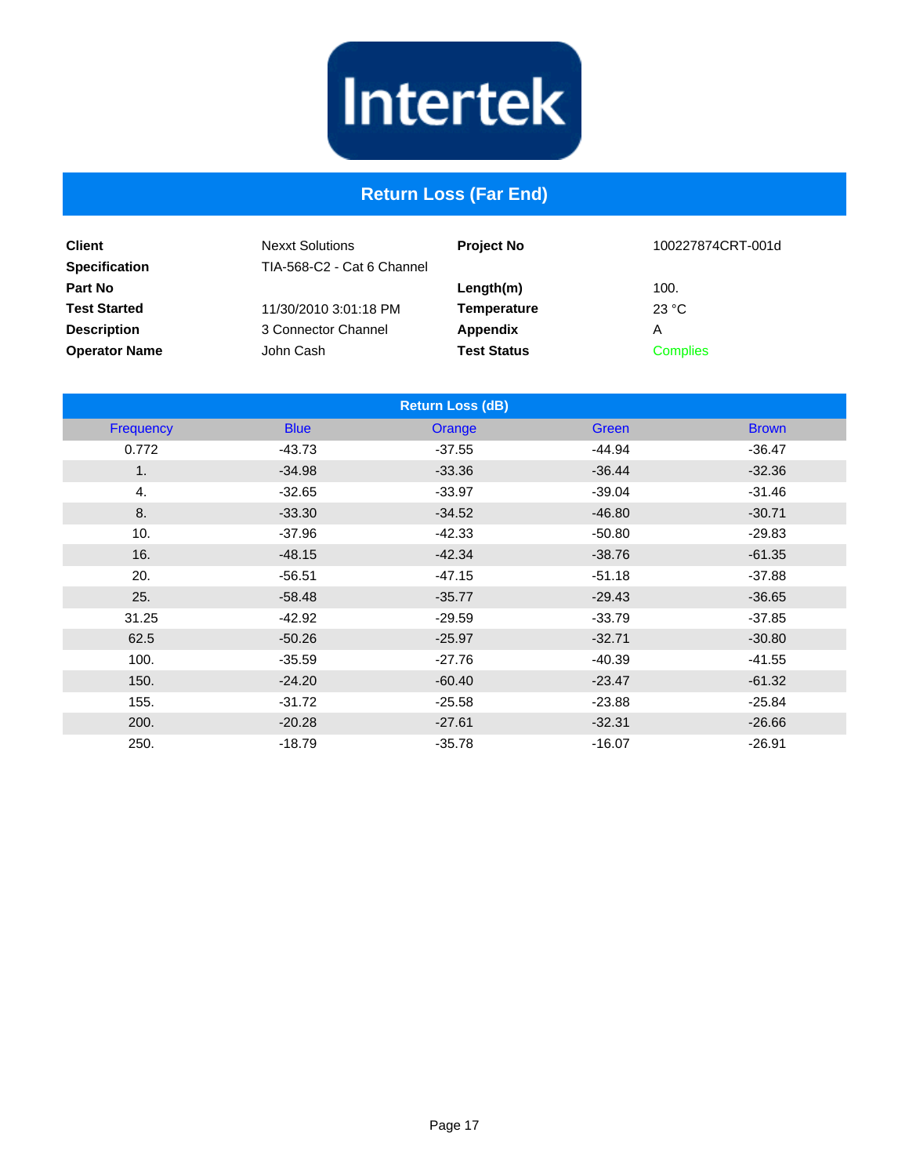# Intertek

### **Return Loss (Far End)**

| <b>Client</b>                          | <b>Nexxt Solutions</b>     | <b>Project No</b>  | 100227874CRT-001d |
|----------------------------------------|----------------------------|--------------------|-------------------|
| <b>Specification</b><br><b>Part No</b> | TIA-568-C2 - Cat 6 Channel | Length(m)          | 100.              |
| <b>Test Started</b>                    | 11/30/2010 3:01:18 PM      | <b>Temperature</b> | 23 °C             |
| <b>Description</b>                     | 3 Connector Channel        | Appendix           | A                 |
| <b>Operator Name</b>                   | John Cash                  | <b>Test Status</b> | <b>Complies</b>   |

|                |             | <b>Return Loss (dB)</b> |          |              |
|----------------|-------------|-------------------------|----------|--------------|
| Frequency      | <b>Blue</b> | Orange                  | Green    | <b>Brown</b> |
| 0.772          | $-43.73$    | $-37.55$                | $-44.94$ | $-36.47$     |
| 1 <sub>1</sub> | $-34.98$    | $-33.36$                | $-36.44$ | $-32.36$     |
| 4.             | $-32.65$    | $-33.97$                | $-39.04$ | $-31.46$     |
| 8.             | $-33.30$    | $-34.52$                | $-46.80$ | $-30.71$     |
| 10.            | $-37.96$    | $-42.33$                | $-50.80$ | $-29.83$     |
| 16.            | $-48.15$    | $-42.34$                | $-38.76$ | $-61.35$     |
| 20.            | $-56.51$    | $-47.15$                | $-51.18$ | $-37.88$     |
| 25.            | $-58.48$    | $-35.77$                | $-29.43$ | $-36.65$     |
| 31.25          | $-42.92$    | $-29.59$                | $-33.79$ | $-37.85$     |
| 62.5           | $-50.26$    | $-25.97$                | $-32.71$ | $-30.80$     |
| 100.           | $-35.59$    | $-27.76$                | $-40.39$ | $-41.55$     |
| 150.           | $-24.20$    | $-60.40$                | $-23.47$ | $-61.32$     |
| 155.           | $-31.72$    | $-25.58$                | $-23.88$ | $-25.84$     |
| 200.           | $-20.28$    | $-27.61$                | $-32.31$ | $-26.66$     |
| 250.           | $-18.79$    | $-35.78$                | $-16.07$ | $-26.91$     |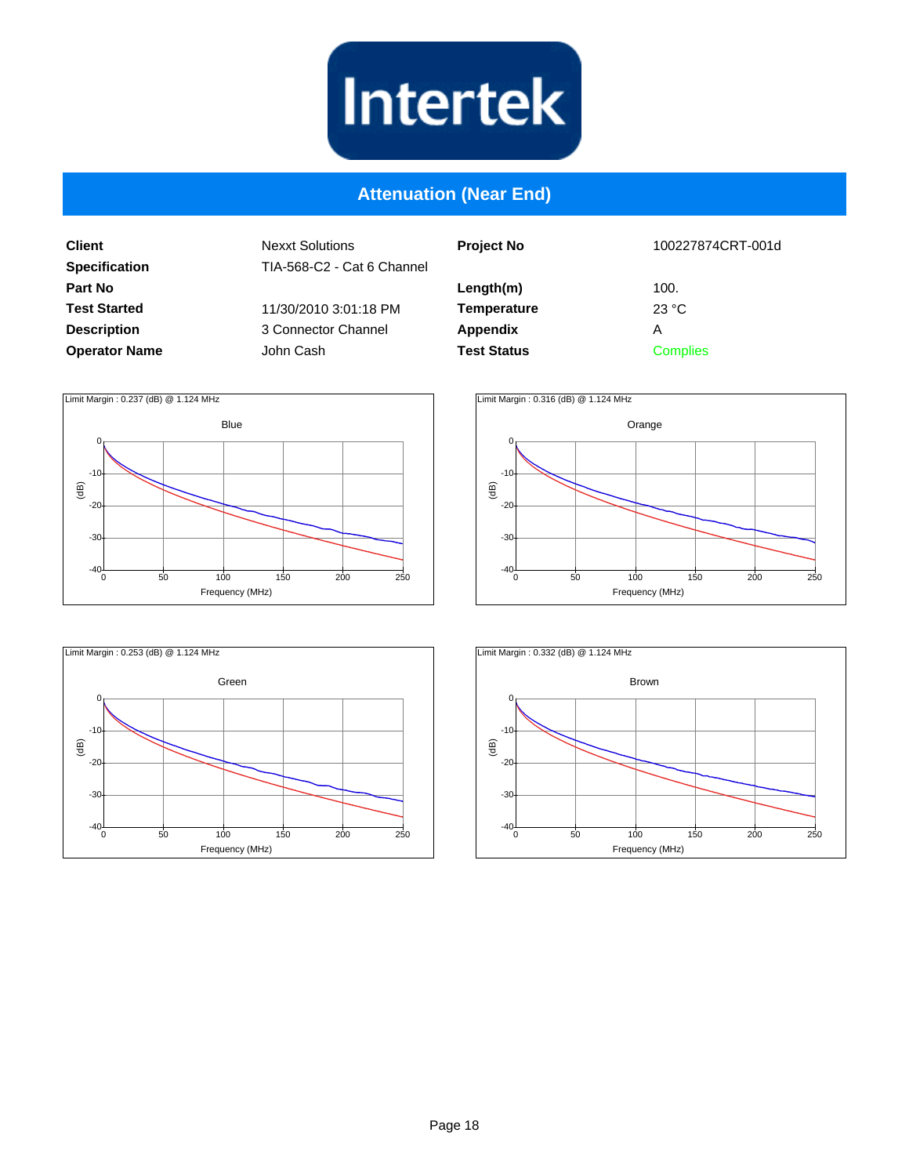

#### **Attenuation (Near End)**

**Client Specification Part No Test Started Description Operator Name**

| <b>Project No</b>  | 100227874CRT-001d |
|--------------------|-------------------|
| Length(m)          | 100.              |
| <b>Temperature</b> | 23 °C             |
| Appendix           | А                 |
| <b>Test Status</b> | <b>Complies</b>   |







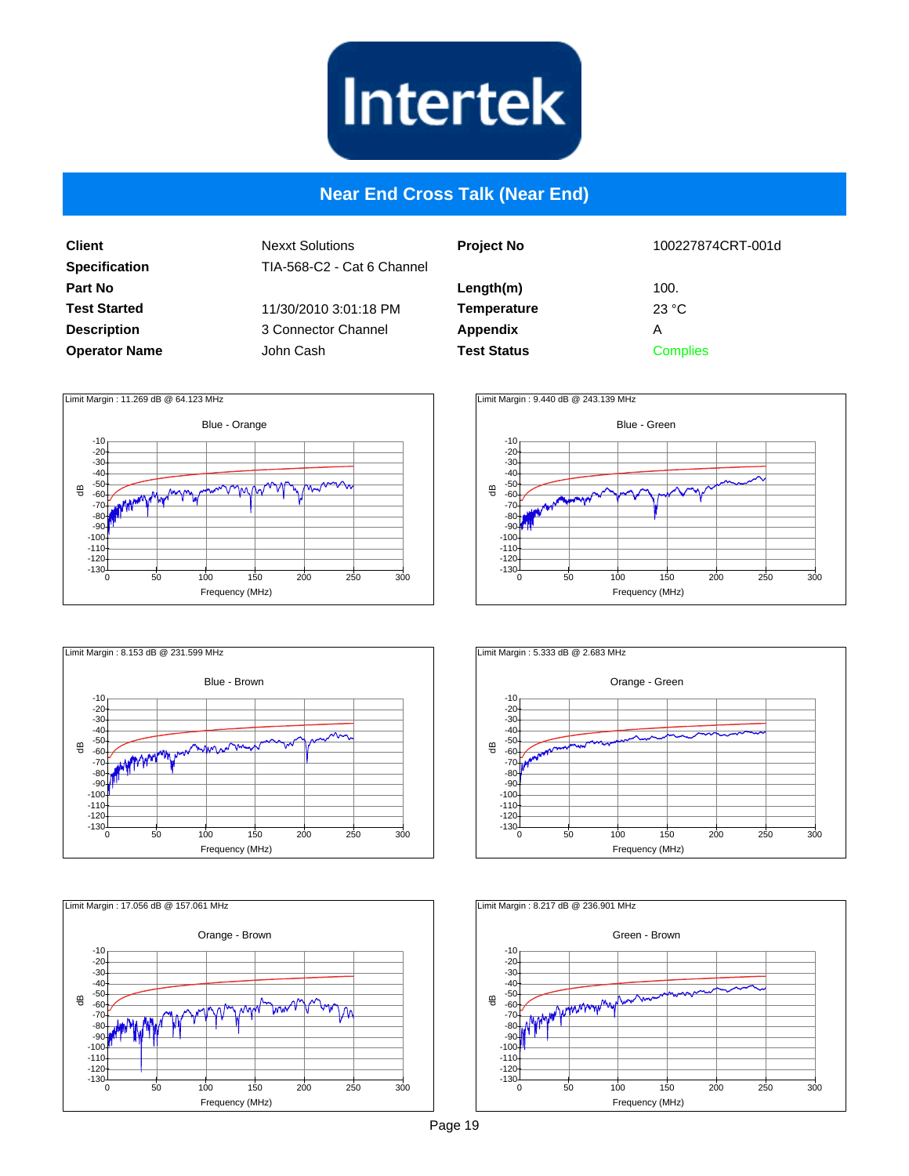

#### **Near End Cross Talk (Near End)**

**Client Specification Part No Test Started Description Operator Name** Nexxt Solutions TIA-568-C2 - Cat 6 Channel 11/30/2010 3:01:18 PM 3 Connector Channel John Cash

| <b>Project No</b>  | 100227874CRT-001d       |
|--------------------|-------------------------|
| Length(m)          | 100.                    |
| <b>Temperature</b> | $23 \text{ }^{\circ}$ C |
| Appendix           | Α                       |
| <b>Test Status</b> | <b>Complies</b>         |
|                    |                         |











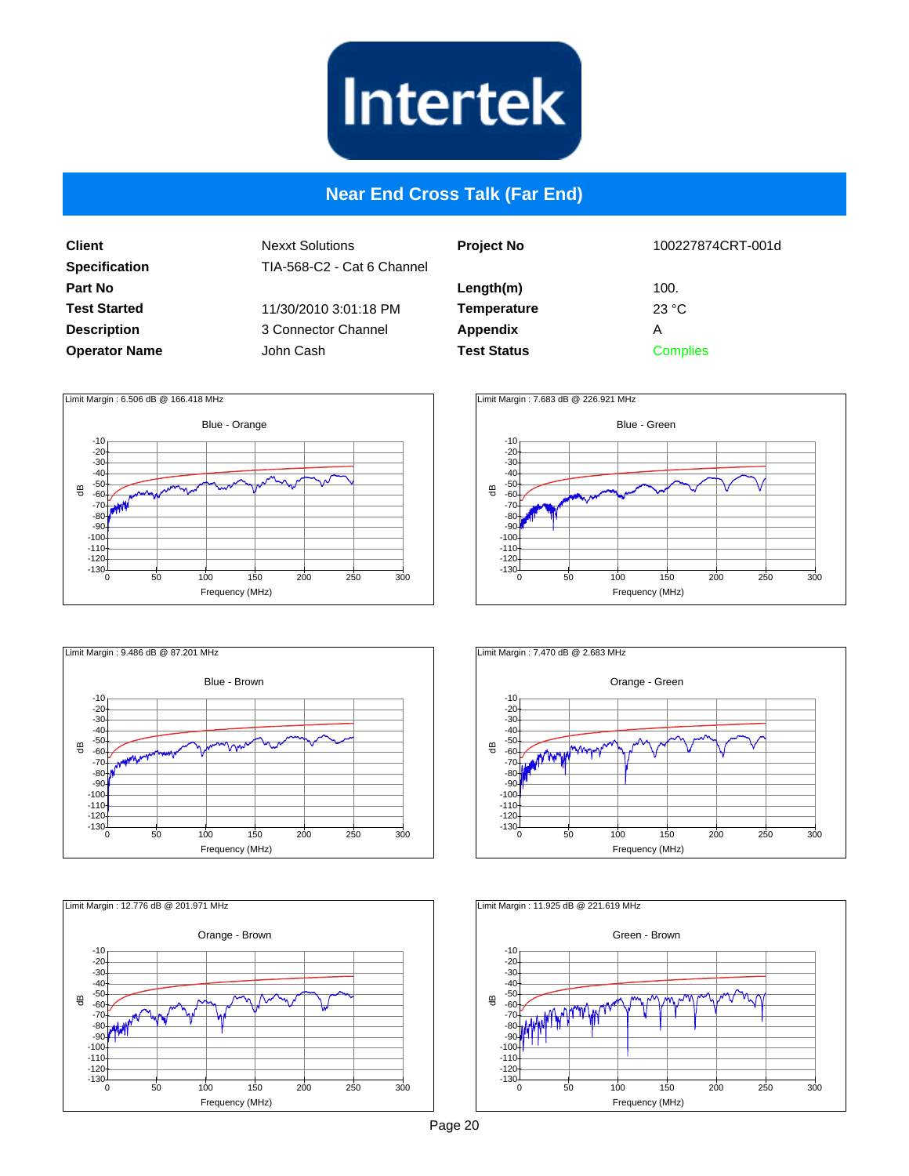

#### **Near End Cross Talk (Far End)**

**Client Specification Part No Test Started Description Operator Name** Nexxt Solutions TIA-568-C2 - Cat 6 Channel 11/30/2010 3:01:18 PM 3 Connector Channel John Cash

| <b>Project No</b>  | 100227874CRT-001d |
|--------------------|-------------------|
| Length(m)          | 100.              |
| <b>Temperature</b> | 23 °C             |
| Appendix           | А                 |
| <b>Test Status</b> | <b>Complies</b>   |











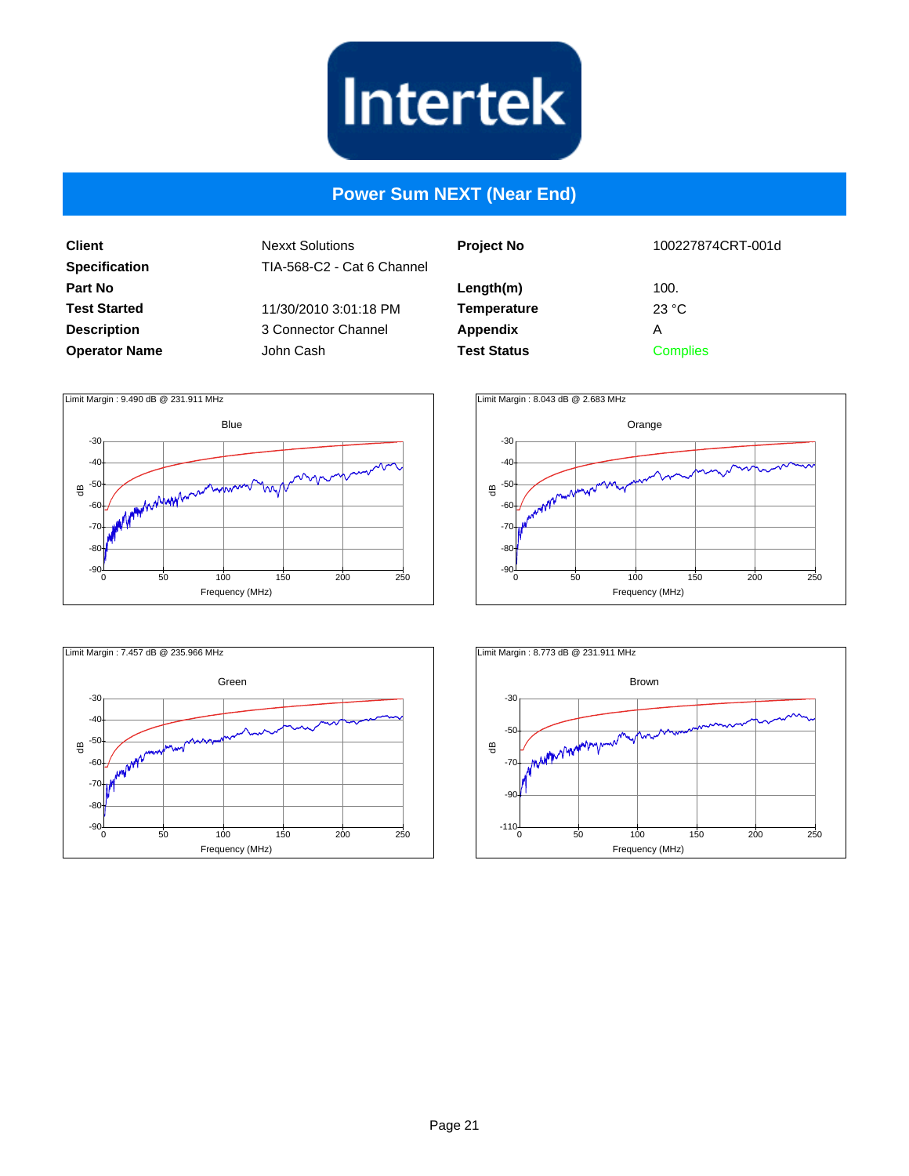

#### **Power Sum NEXT (Near End)**

**Client Specification Part No Test Started Description Operator Name**

| <b>Project No</b>  | 100227874CRT-001d |
|--------------------|-------------------|
|                    |                   |
| Length(m)          | 100.              |
| <b>Temperature</b> | 23 °C             |
| <b>Appendix</b>    | А                 |
| <b>Test Status</b> | <b>Complies</b>   |
|                    |                   |







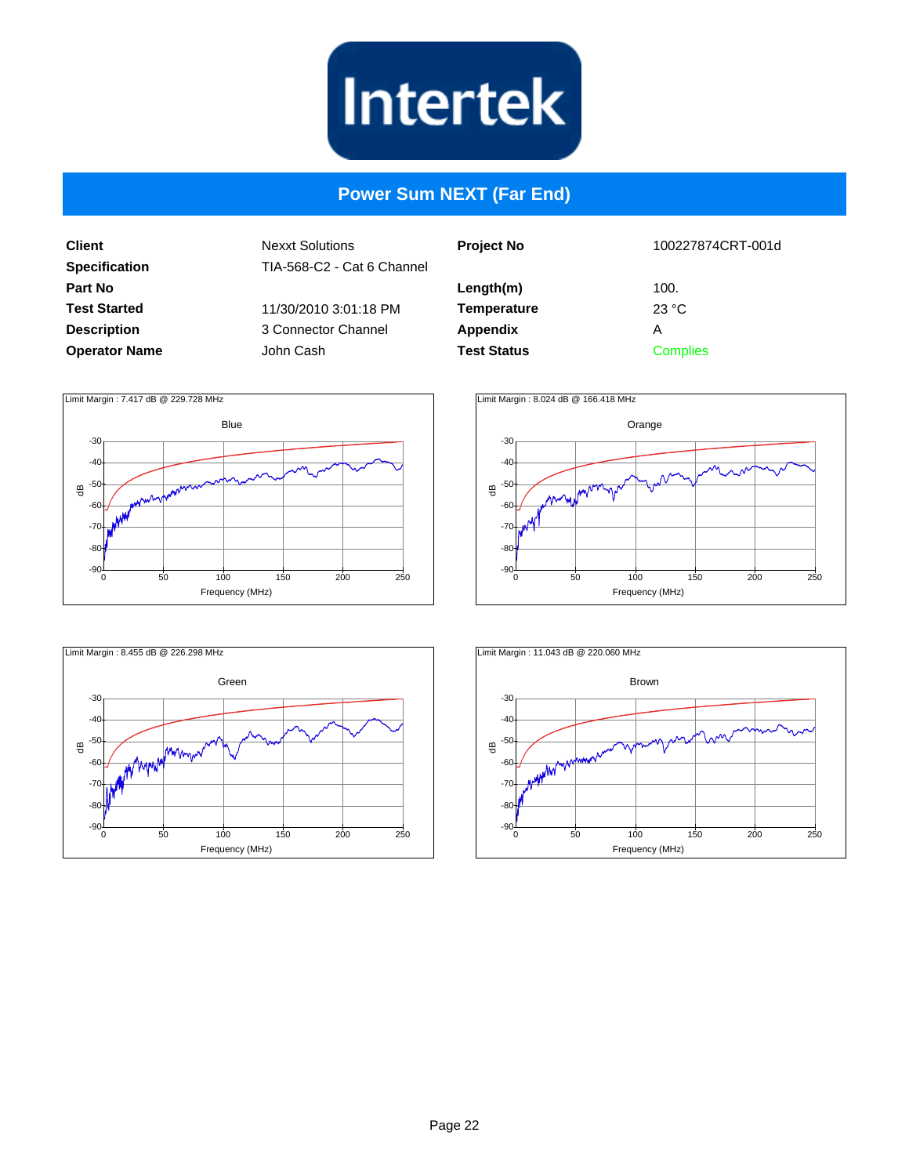

#### **Power Sum NEXT (Far End)**

**Client Specification Part No Test Started Description Operator Name**

| <b>Project No</b>  | 100227874CRT-001d |
|--------------------|-------------------|
| Length(m)          | 100.              |
| <b>Temperature</b> | 23 °C             |
| Appendix           | Α                 |
| <b>Test Status</b> | <b>Complies</b>   |
|                    |                   |







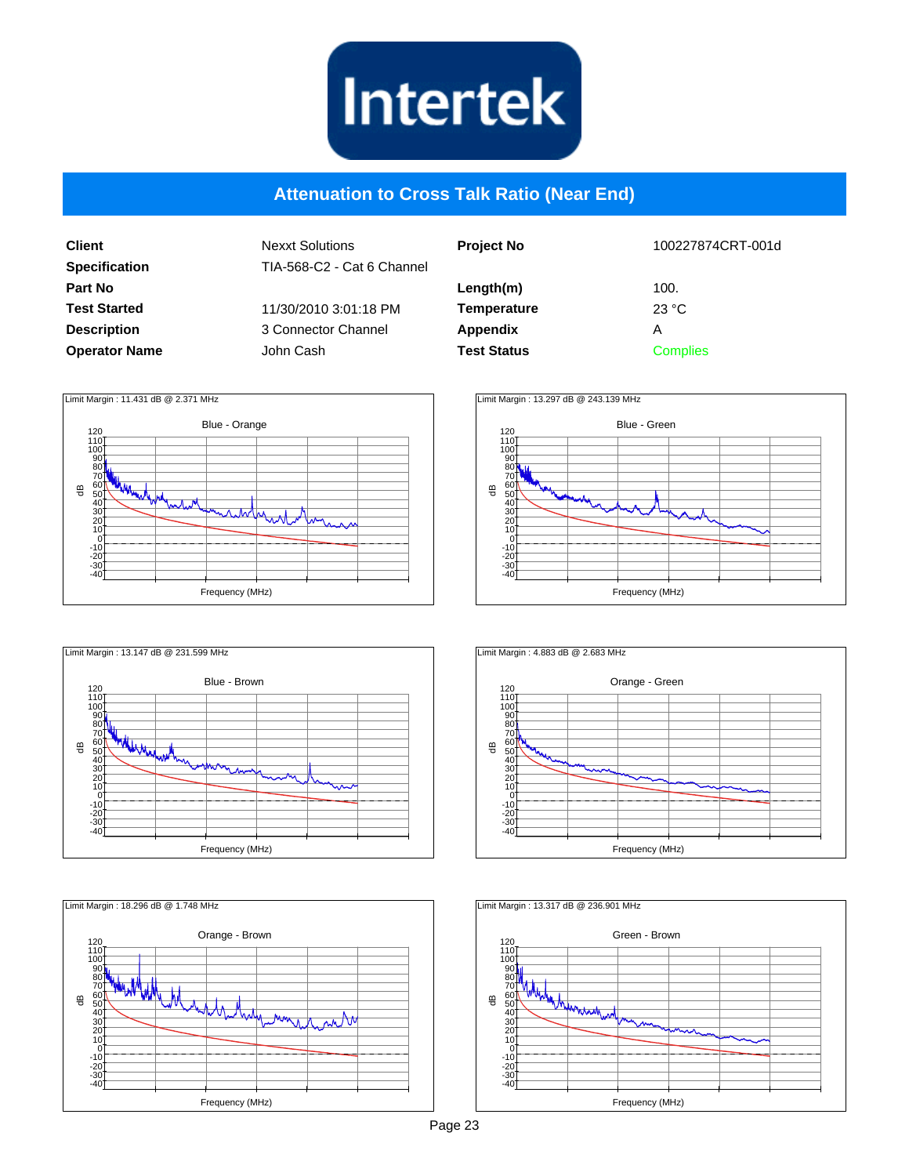

#### **Attenuation to Cross Talk Ratio (Near End)**

| <b>Client</b>        |
|----------------------|
| <b>Specification</b> |
| Part No              |
| <b>Test Started</b>  |
| <b>Description</b>   |
| <b>Operator Name</b> |

Nexxt Solutions TIA-568-C2 - Cat 6 Channel 11/30/2010 3:01:18 PM 3 Connector Channel John Cash

| <b>Project No</b>  | 100227874CRT-001d |
|--------------------|-------------------|
| Length(m)          | 100.              |
| Temperature        | 23 °C             |
| Appendix           | А                 |
| <b>Test Status</b> | <b>Complies</b>   |











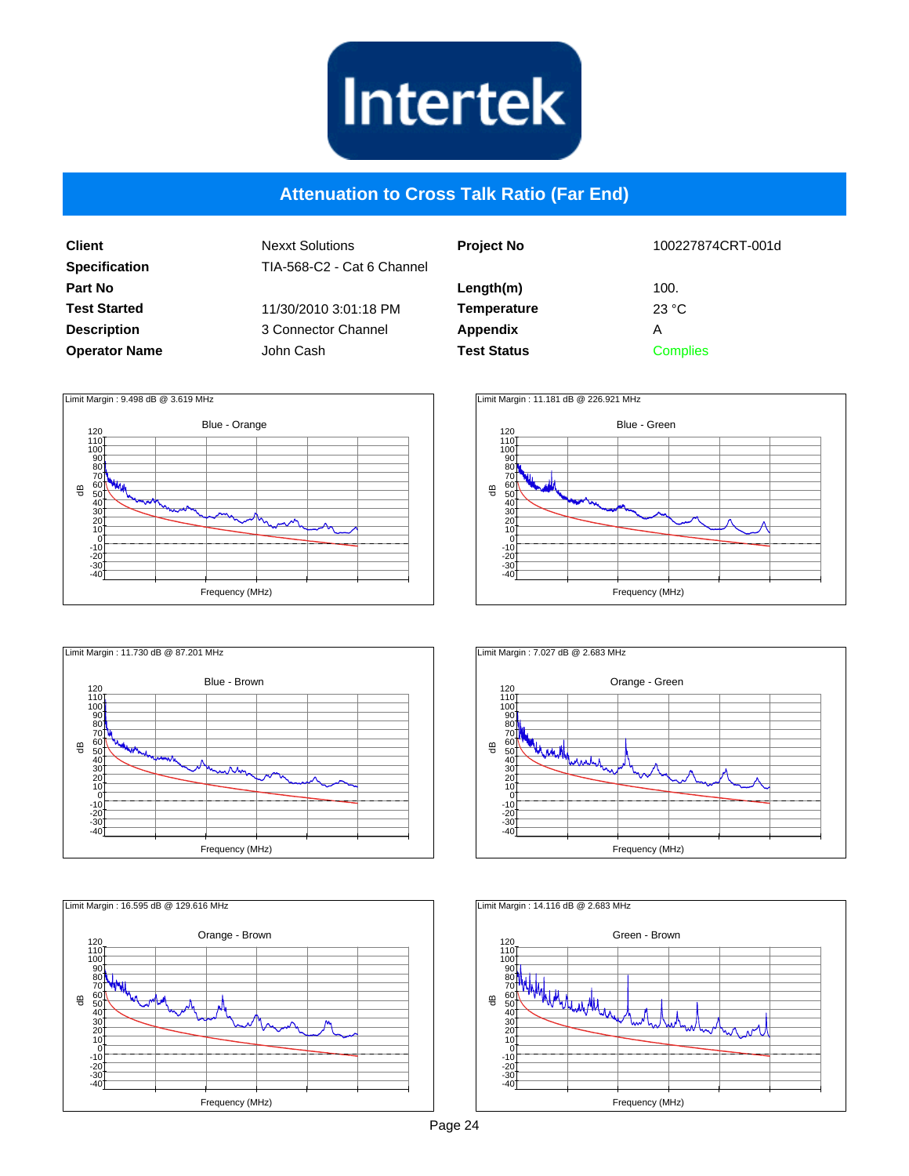

#### **Attenuation to Cross Talk Ratio (Far End)**

| <b>Client</b>        |
|----------------------|
| <b>Specification</b> |
| Part No              |
| <b>Test Started</b>  |
| <b>Description</b>   |
| <b>Operator Name</b> |

| John Cash | 11/30/2010 3:01:18 PM<br>3 Connector Channel |
|-----------|----------------------------------------------|

| <b>Project No</b>  | 100227874CRT-001d       |
|--------------------|-------------------------|
| Length(m)          | 100.                    |
| <b>Temperature</b> | $23 \text{ }^{\circ}$ C |
| Appendix           | Α                       |
| <b>Test Status</b> | <b>Complies</b>         |
|                    |                         |











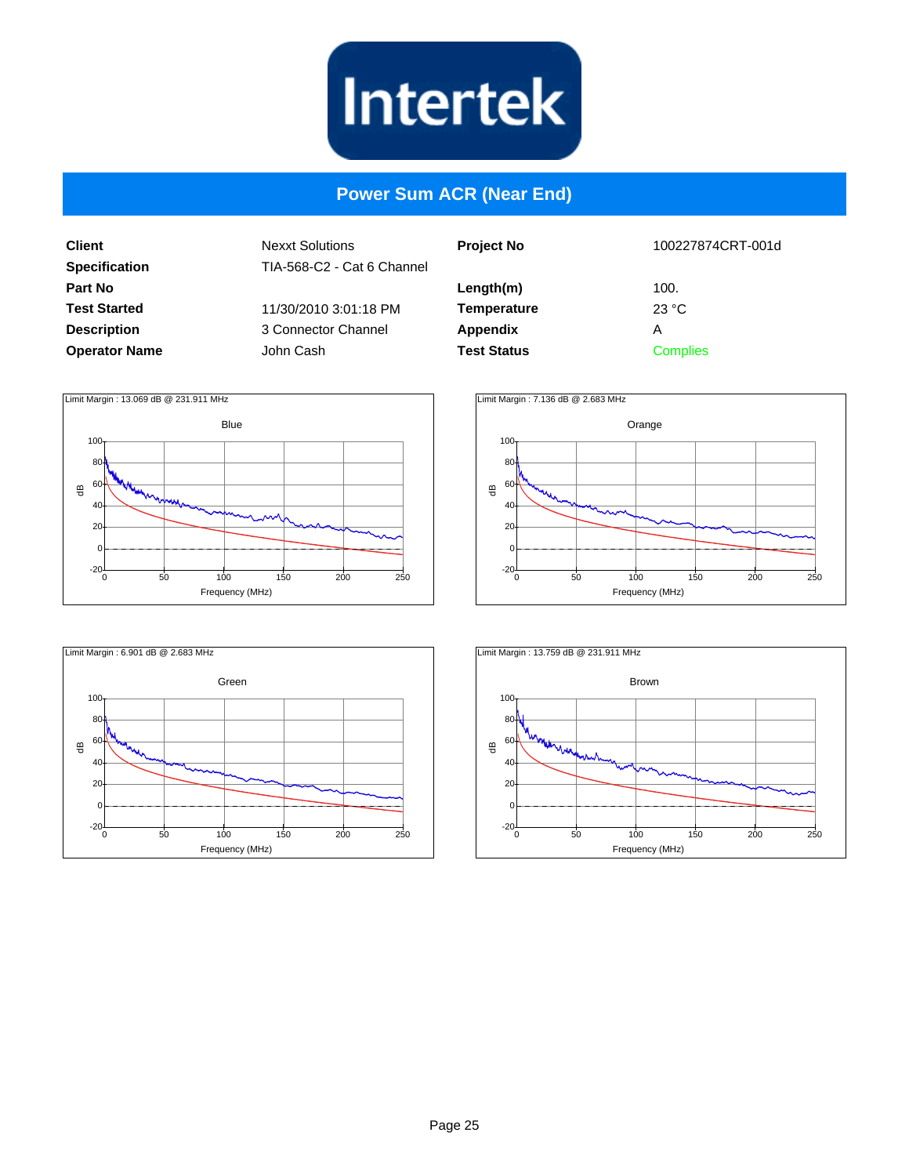

#### **Power Sum ACR (Near End)**

**Client Specification Part No Test Started Description Operator Name**

| el | <b>Project No</b>  | 100227874CRT-001d |
|----|--------------------|-------------------|
|    | Length(m)          | 100.              |
|    | <b>Temperature</b> | 23 °C             |
|    | <b>Appendix</b>    | Α                 |
|    | <b>Test Status</b> | <b>Complies</b>   |
|    |                    |                   |







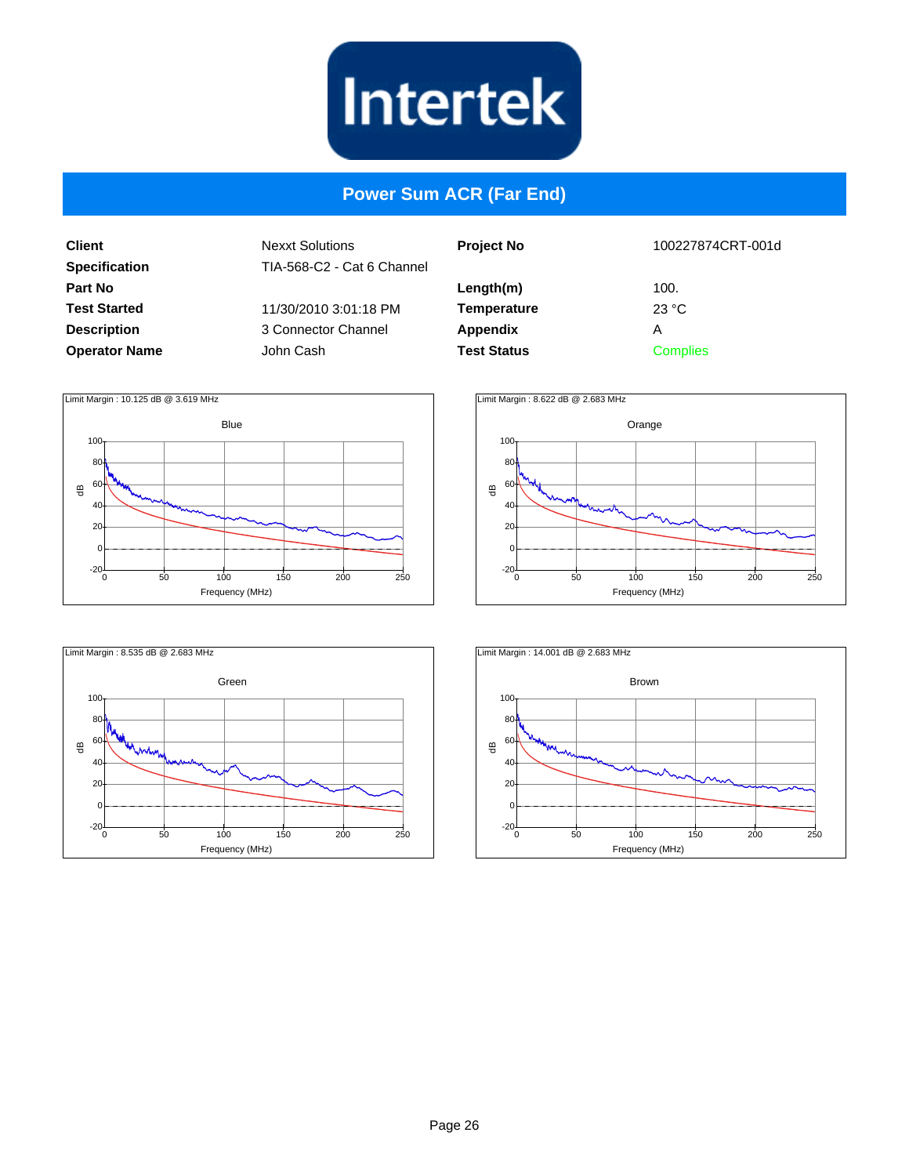

#### **Power Sum ACR (Far End)**

**Client Specification Part No Test Started Description Operator Name**

| اڊ | <b>Project No</b>  | 100227874CRT-001d |
|----|--------------------|-------------------|
|    | Length(m)          | 100.              |
|    | <b>Temperature</b> | 23 °C             |
|    | Appendix           | Α                 |
|    | <b>Test Status</b> | <b>Complies</b>   |
|    |                    |                   |







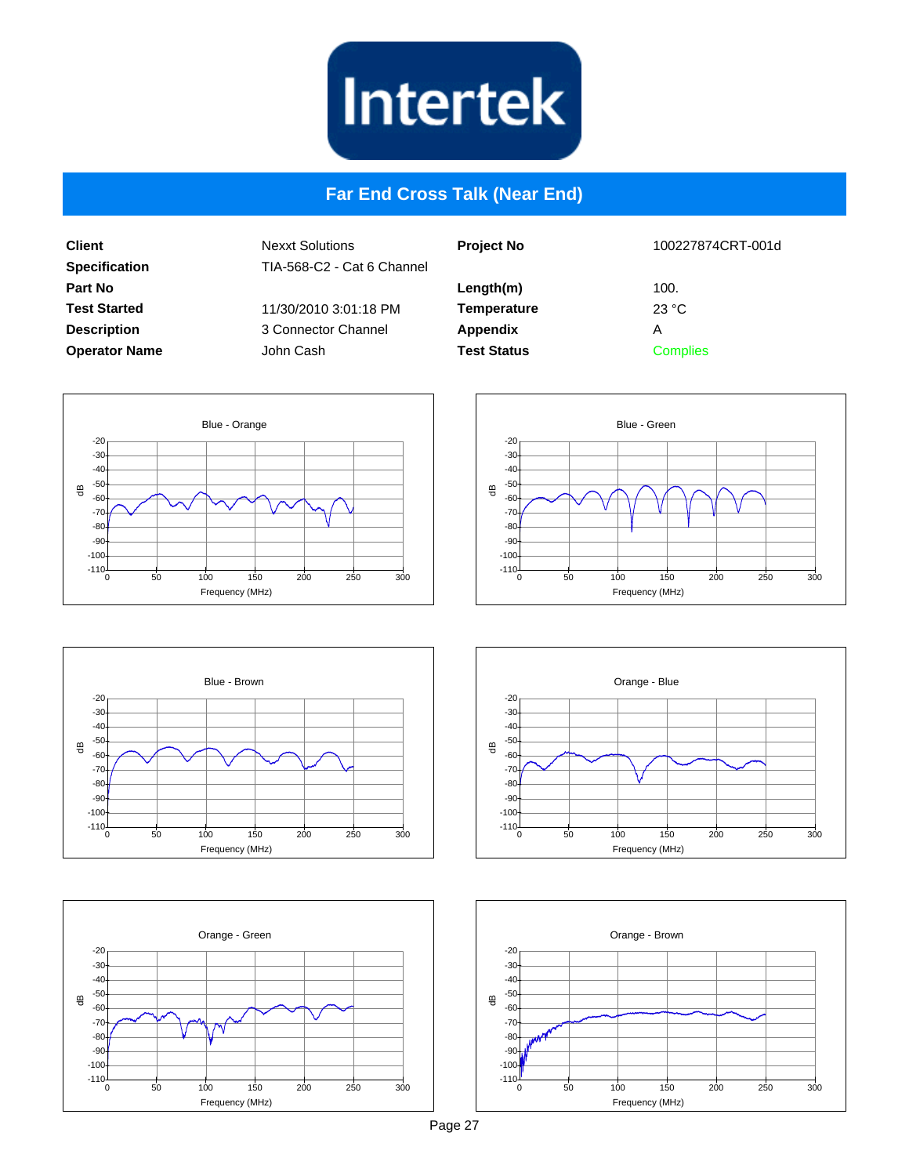

#### **Far End Cross Talk (Near End)**

**Client Specification Part No Test Started Description Operator Name** Nexxt Solutions TIA-568-C2 - Cat 6 Channel 11/30/2010 3:01:18 PM 3 Connector Channel John Cash

| <b>Project No</b>  | 100227874CRT-001d |
|--------------------|-------------------|
| Length(m)          | 100.              |
| <b>Temperature</b> | 23 °C             |
| <b>Appendix</b>    | А                 |
| <b>Test Status</b> | <b>Complies</b>   |











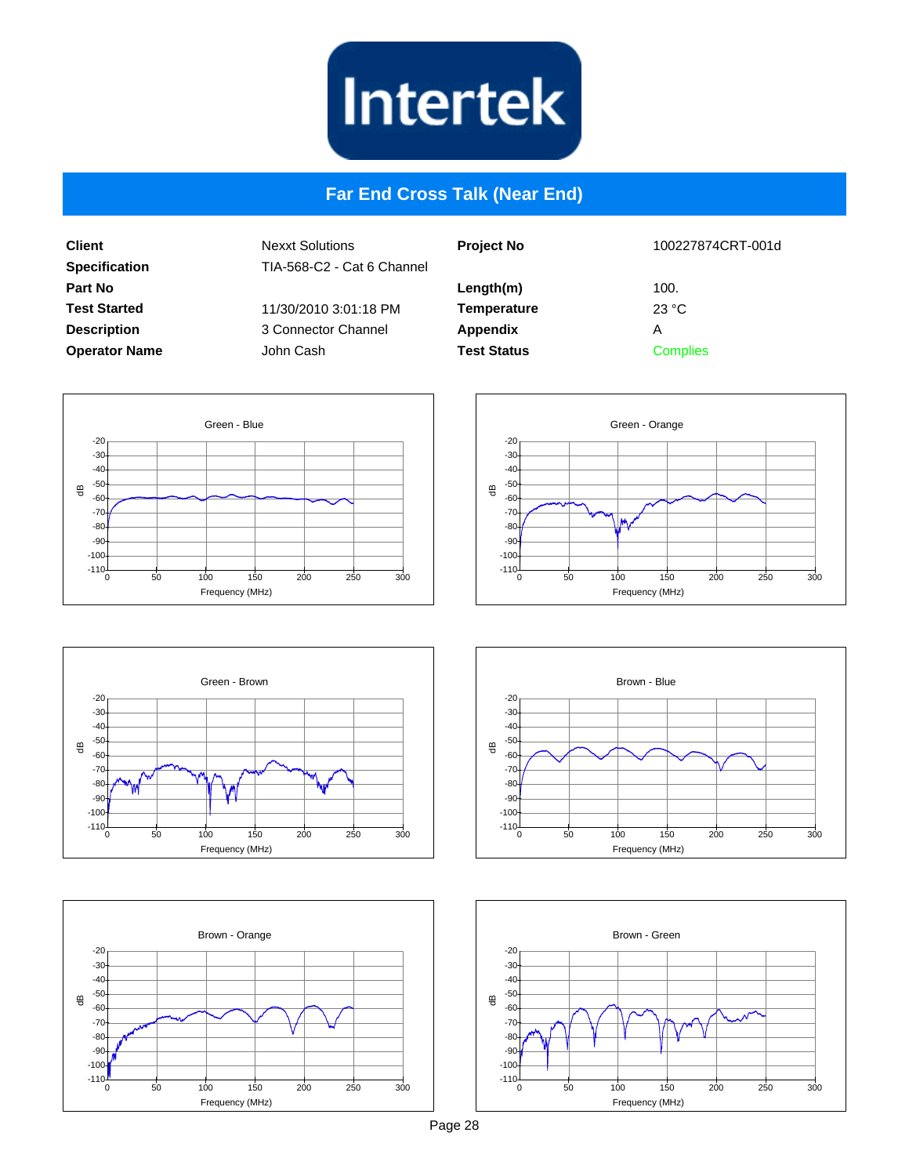

#### **Far End Cross Talk (Near End)**

**Client Specification Part No Test Started Description Operator Name** Nexxt Solutions TIA-568-C2 - Cat 6 Channel 11/30/2010 3:01:18 PM 3 Connector Channel John Cash

| <b>Project No</b>  | 100227874CRT-001d |
|--------------------|-------------------|
| Length(m)          | 100.              |
| <b>Temperature</b> | 23 °C             |
| <b>Appendix</b>    | А                 |
| <b>Test Status</b> | <b>Complies</b>   |











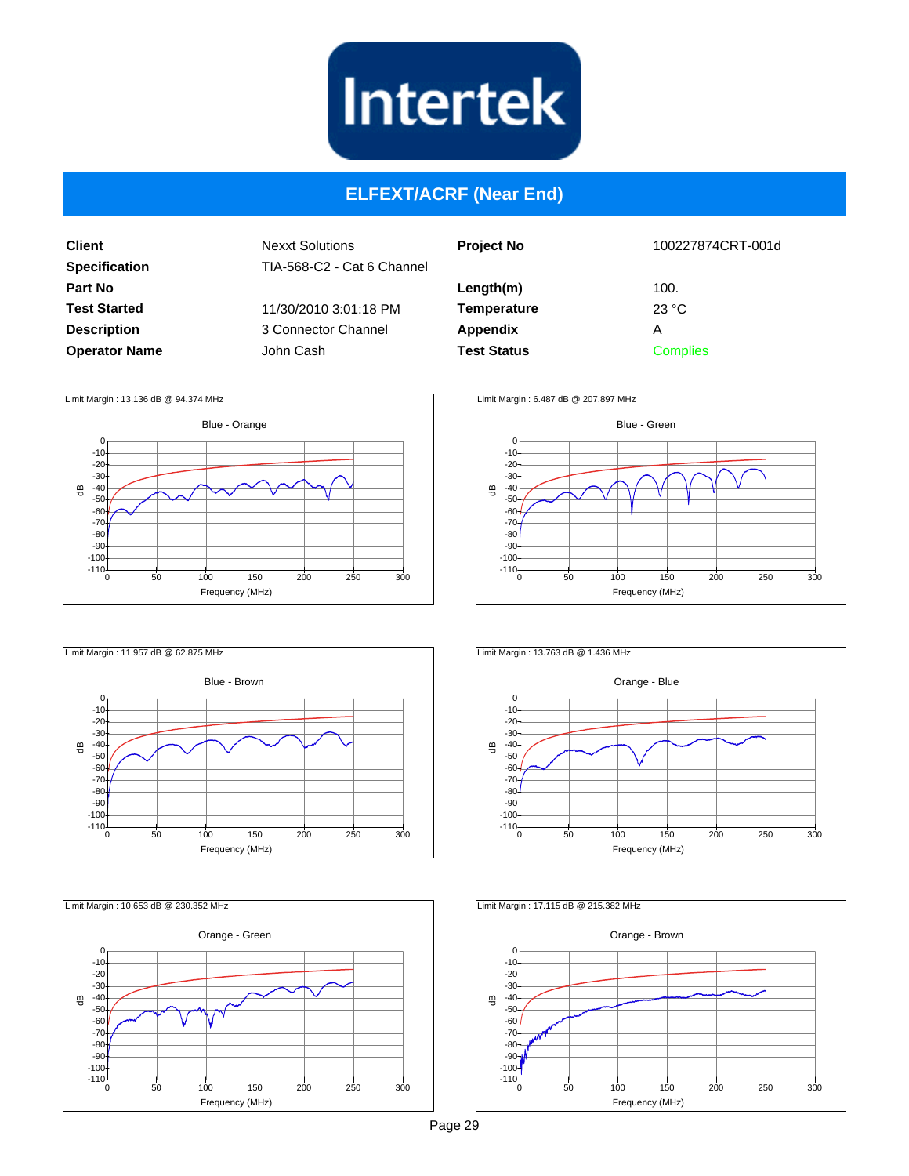

#### **ELFEXT/ACRF (Near End)**

**Client Specification Part No Test Started Description Operator Name** Nexxt Solutions TIA-568-C2 - Cat 6 Channel 11/30/2010 3:01:18 PM 3 Connector Channel John Cash

| <b>Project No</b>  | 100227874CRT-001d       |
|--------------------|-------------------------|
| Length(m)          | 100.                    |
| <b>Temperature</b> | $23 \text{ }^{\circ}$ C |
| <b>Appendix</b>    | Α                       |
| <b>Test Status</b> | <b>Complies</b>         |







Blue - Green  $\oplus$ Frequency (MHz)  $-10$  $-20$ -30 -40 -50 -60 -70 -80 -90  $-100$  $-110^{10}$  $\Omega$ 0 50 100 150 200 250 300 Limit Margin : 6.487 dB @ 207.897 MHz



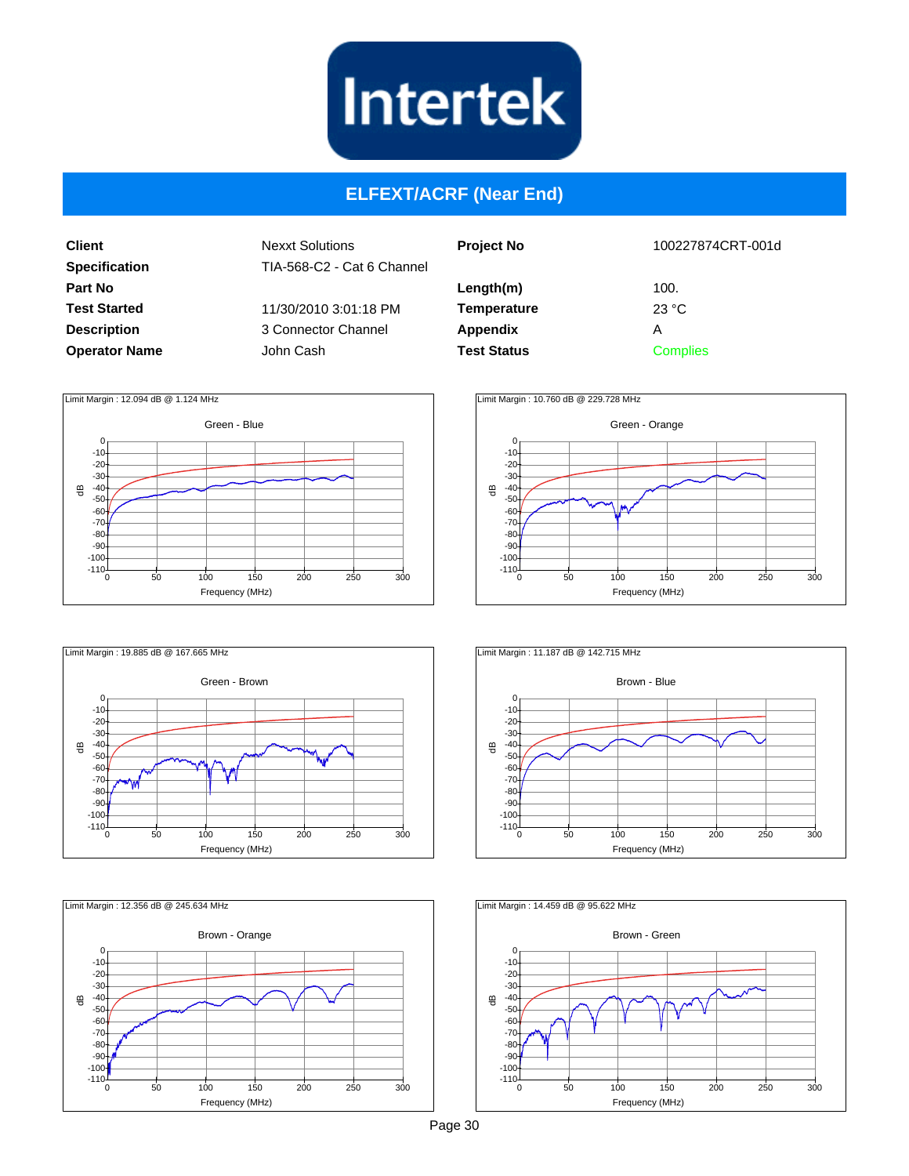

#### **ELFEXT/ACRF (Near End)**

**Client Specification Part No Test Started Description Operator Name** Nexxt Solutions TIA-568-C2 - Cat 6 Channel 11/30/2010 3:01:18 PM 3 Connector Channel John Cash

| <b>Project No</b>  | 100227874CRT-001d       |
|--------------------|-------------------------|
| Length(m)          | 100.                    |
| <b>Temperature</b> | $23 \text{ }^{\circ}$ C |
| <b>Appendix</b>    | А                       |
| <b>Test Status</b> | <b>Complies</b>         |
|                    |                         |











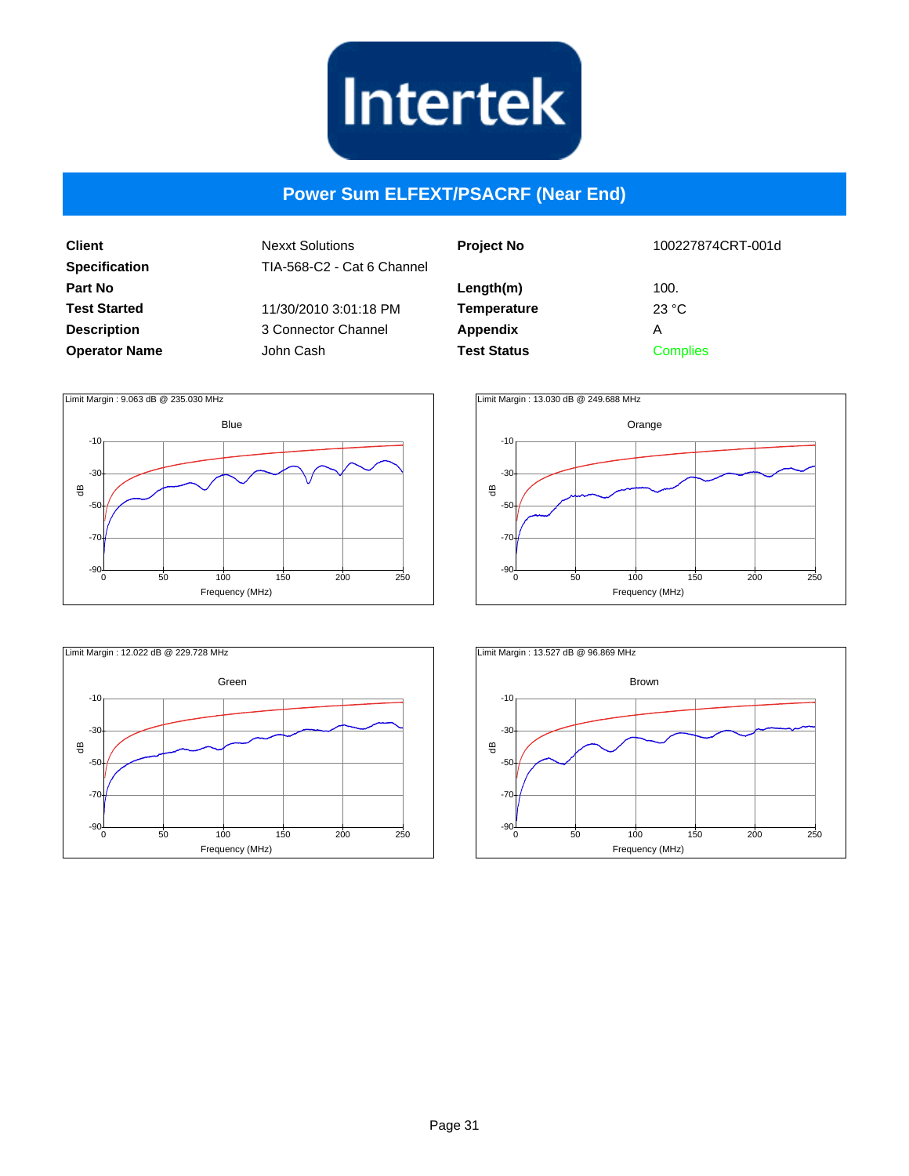

#### **Power Sum ELFEXT/PSACRF (Near End)**

**Client Specification Part No Test Started Description Operator Name**

| 100227874CRT-001d                                       |
|---------------------------------------------------------|
| 100.<br>$23 \text{ }^{\circ}$ C<br>Α<br><b>Complies</b> |
|                                                         |







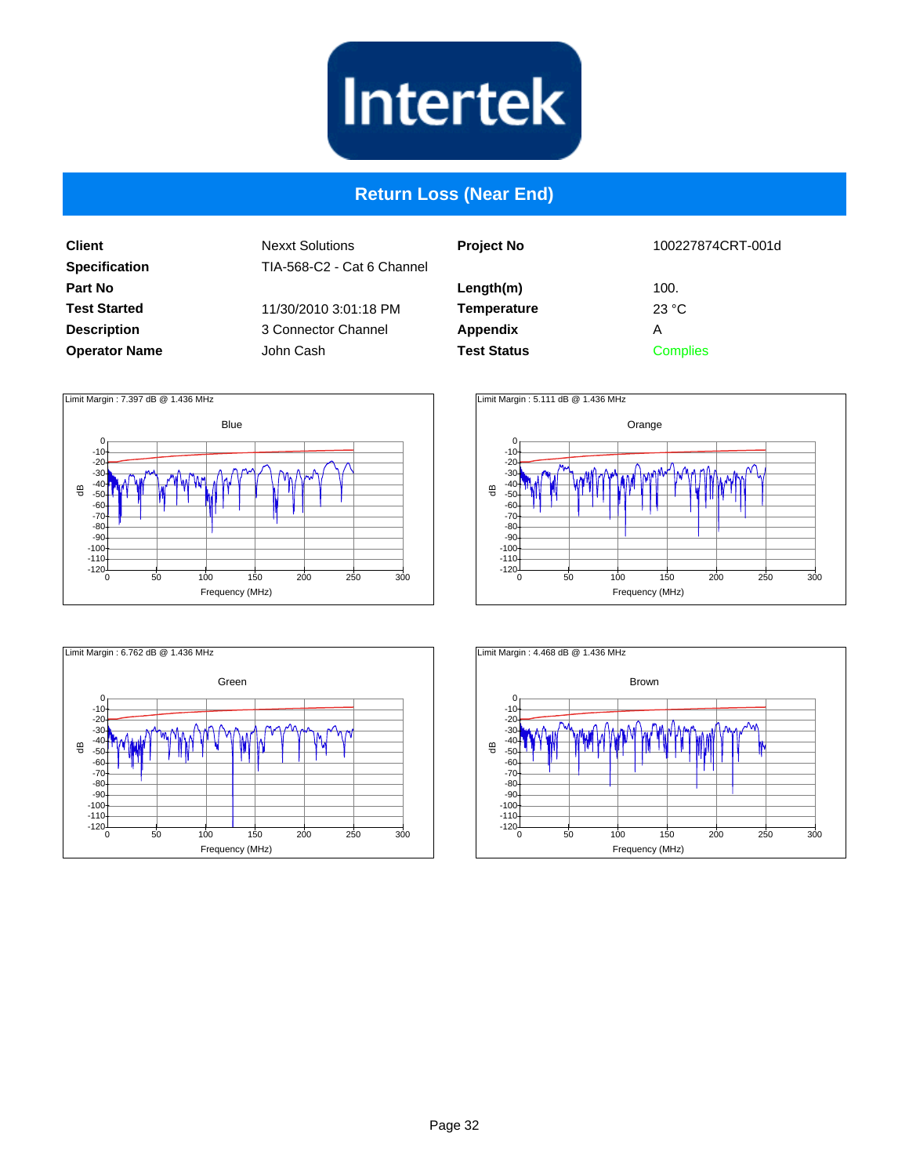

#### **Return Loss (Near End)**

**Client Specification Part No Test Started Description Operator Name**

| <b>Project No</b>  | 100227874CRT-001d |
|--------------------|-------------------|
| Length(m)          | 100.              |
| <b>Temperature</b> | 23 °C             |
| <b>Appendix</b>    | А                 |
| <b>Test Status</b> | <b>Complies</b>   |
|                    |                   |







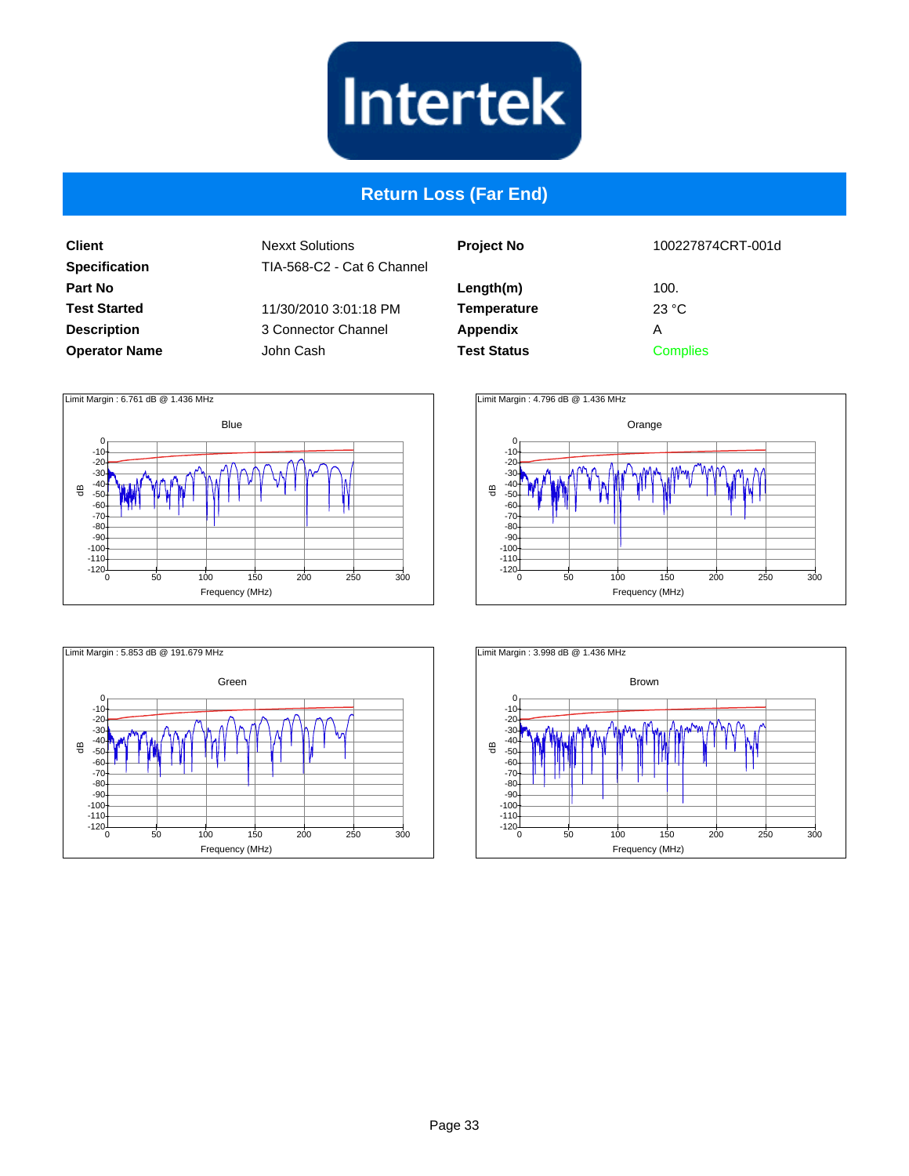

## **Return Loss (Far End)**

**Client Specification Part No Test Started Description Operator Name**

| 100227874CRT-001d |
|-------------------|
| 100.              |
| 23 °C             |
| А                 |
| <b>Complies</b>   |
|                   |







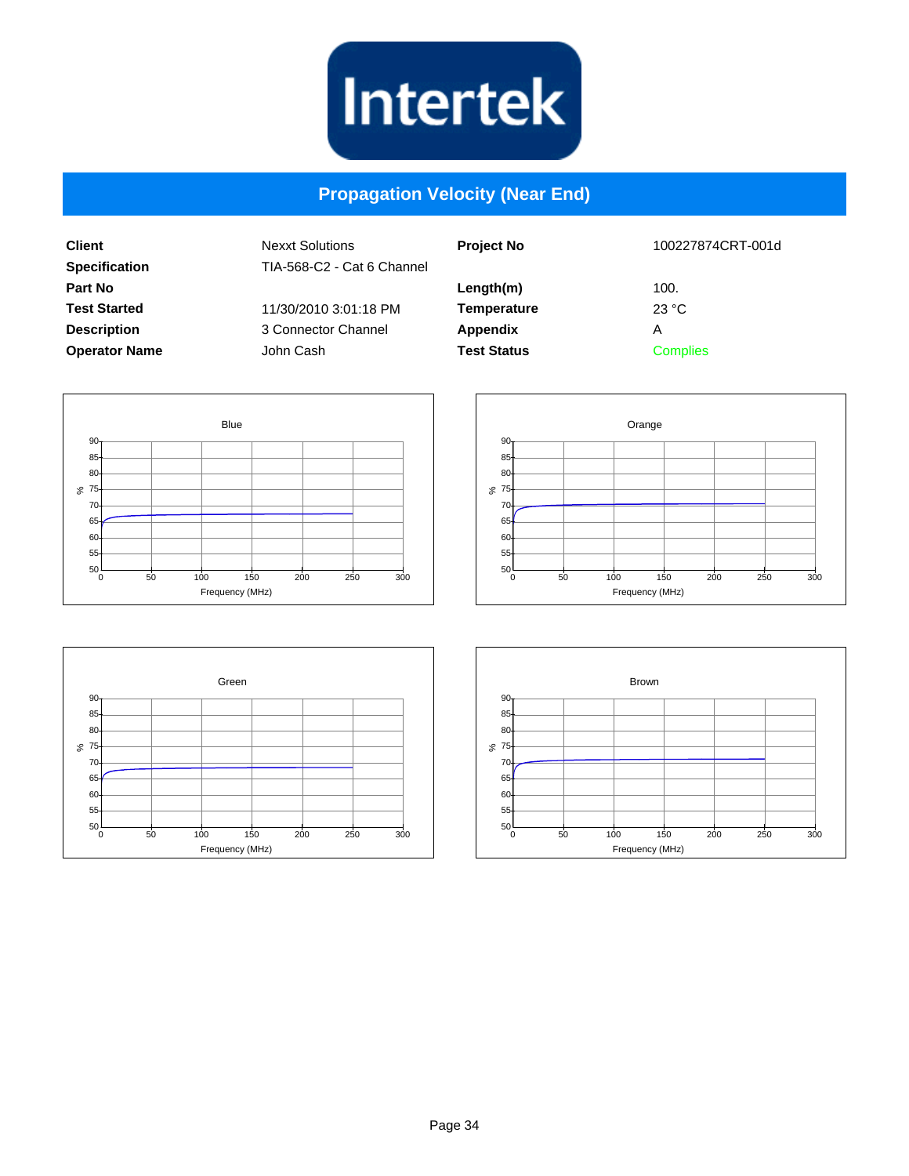

#### **Propagation Velocity (Near End)**

| <b>Client</b><br><b>Specification</b> | <b>Nexxt Solutions</b><br>TIA-568-C2 - Cat 6 Channel | <b>Project No</b>  | 100227874CRT-001d |
|---------------------------------------|------------------------------------------------------|--------------------|-------------------|
| Part No                               |                                                      | Length(m)          | 100.              |
| <b>Test Started</b>                   | 11/30/2010 3:01:18 PM                                | <b>Temperature</b> | 23 °C             |
| <b>Description</b>                    | 3 Connector Channel                                  | Appendix           | A                 |
| <b>Operator Name</b>                  | John Cash                                            | <b>Test Status</b> | <b>Complies</b>   |







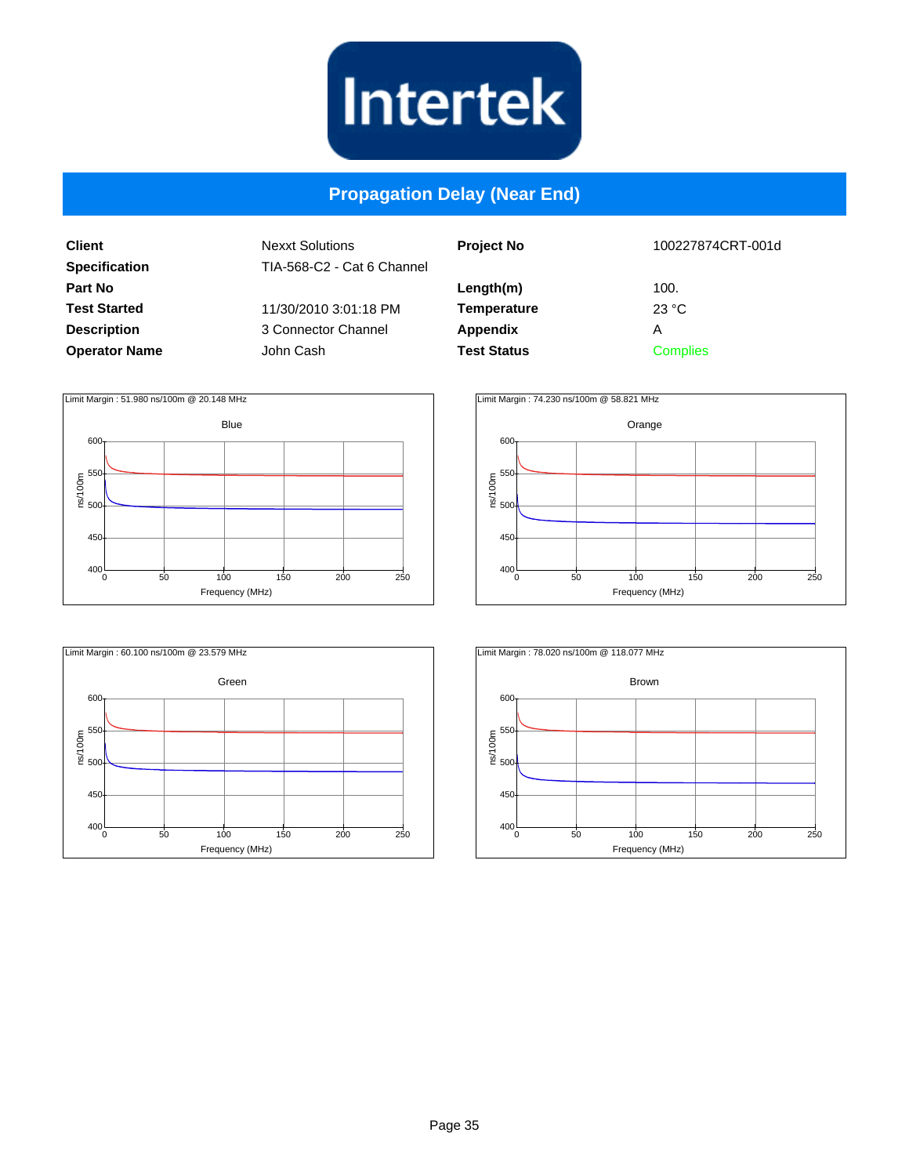

#### **Propagation Delay (Near End)**

**Client Specification Part No Test Started Description Operator Name**

| <b>Project No</b>  | 100227874CRT-001d |
|--------------------|-------------------|
| Length(m)          | 100.              |
| <b>Temperature</b> | 23 °C             |
| Appendix           | Α                 |
| <b>Test Status</b> | <b>Complies</b>   |
|                    |                   |







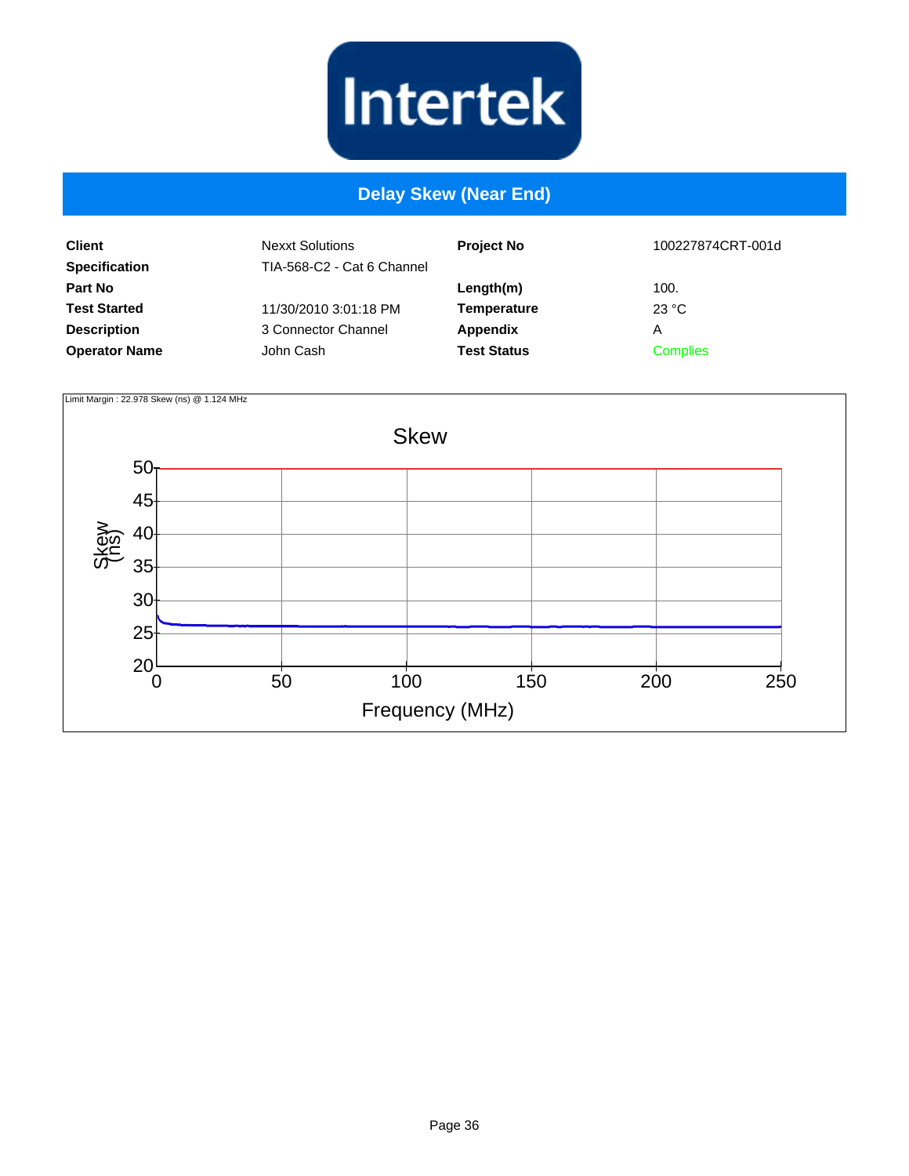

#### **Delay Skew (Near End)**

| <b>Client</b><br><b>Specification</b> | <b>Nexxt Solutions</b><br>TIA-568-C2 - Cat 6 Channel | <b>Project No</b>  | 100227874CRT-001d |
|---------------------------------------|------------------------------------------------------|--------------------|-------------------|
| Part No                               |                                                      | Length(m)          | 100.              |
| <b>Test Started</b>                   | 11/30/2010 3:01:18 PM                                | <b>Temperature</b> | 23 °C             |
| <b>Description</b>                    | 3 Connector Channel                                  | Appendix           | A                 |
| <b>Operator Name</b>                  | John Cash                                            | <b>Test Status</b> | <b>Complies</b>   |

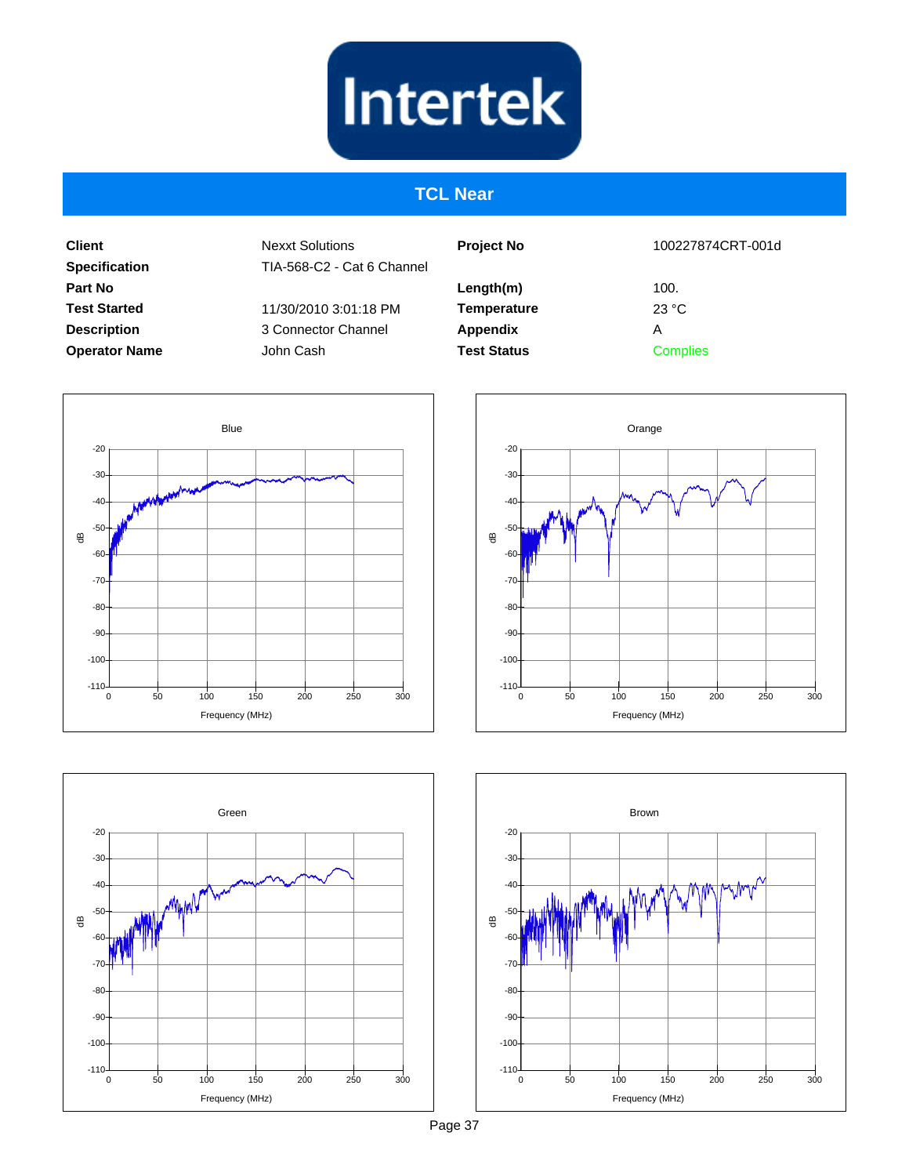# **Intertek**

#### **TCL Near**

**Client Specification Part No Test Started Description Operator Name** Nexxt Solutions TIA-568-C2 - Cat 6 Channel

11/30/2010 3:01:18 PM 3 Connector Channel John Cash

| <b>Project No</b>  | 100227874CRT-001d       |
|--------------------|-------------------------|
| Length(m)          | 100.                    |
| <b>Temperature</b> | $23 \text{ }^{\circ}$ C |
| <b>Appendix</b>    | А                       |
| <b>Test Status</b> | <b>Complies</b>         |
|                    |                         |







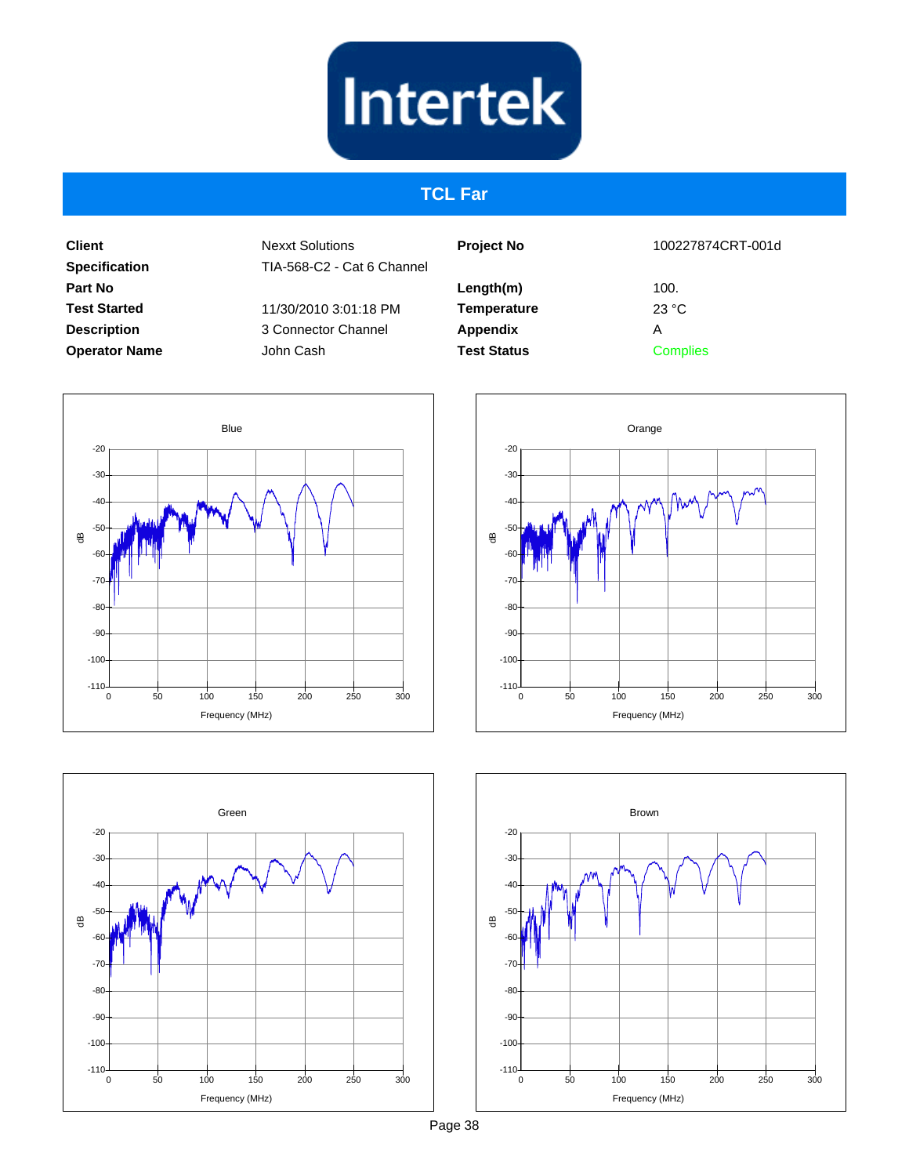# **Intertek**

#### **TCL Far**

**Client Specification Part No Test Started Description Operator Name**

Nexxt Solutions TIA-568-C2 - Cat 6 Channel

11/30/2010 3:01:18 PM 3 Connector Channel John Cash

| <b>Project No</b>  | 100227874CRT-001d |
|--------------------|-------------------|
| Length(m)          | 100.              |
| <b>Temperature</b> | 23 °C             |
| Appendix           | А                 |
| <b>Test Status</b> | <b>Complies</b>   |
|                    |                   |







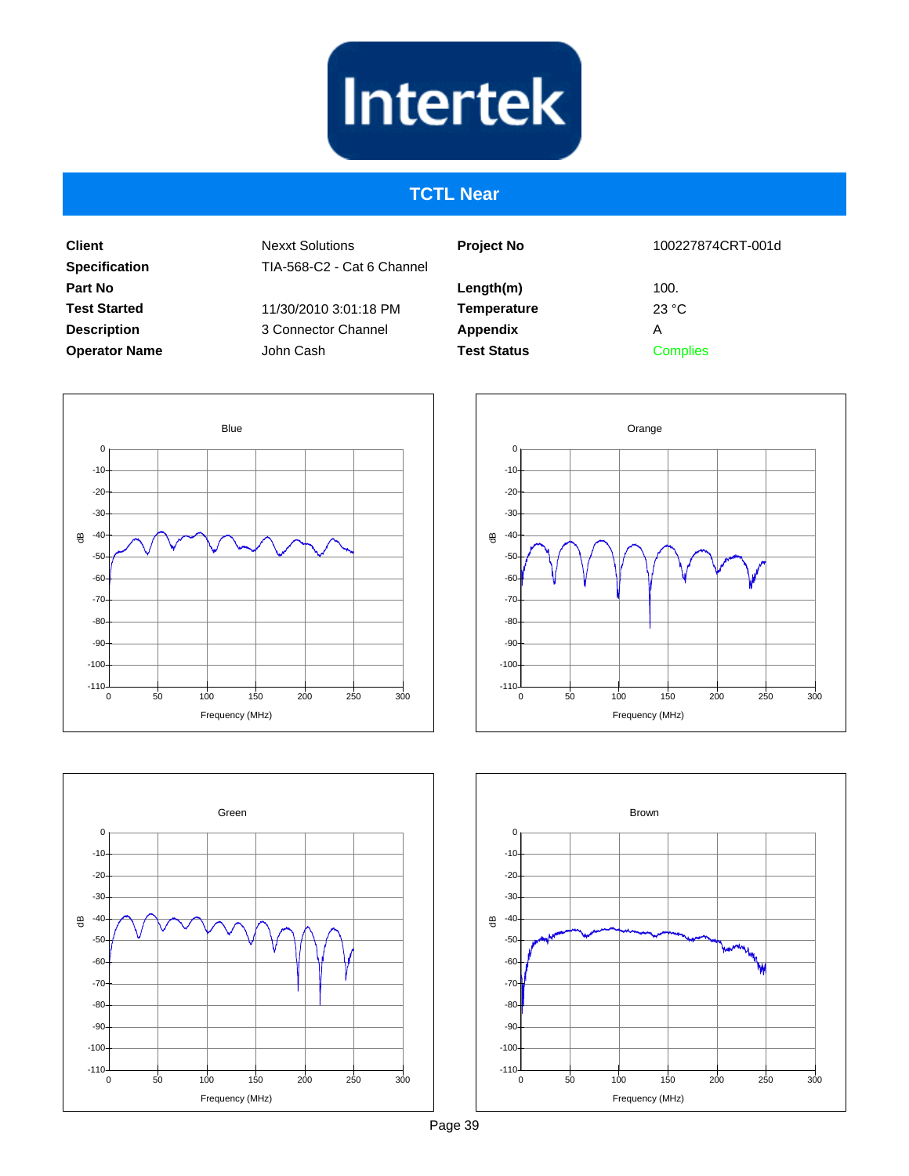

#### **TCTL Near**

**Client Specification Part No Test Started Description Operator Name** Nexxt Solutions TIA-568-C2 - Cat 6 Channel

> 11/30/2010 3:01:18 PM 3 Connector Channel John Cash

| <b>Project No</b>  |  |
|--------------------|--|
| Length(m)          |  |
| <b>Temperature</b> |  |
| Appendix           |  |
| <b>Test Status</b> |  |
|                    |  |

100227874CRT-001d

100. 23 °C A

**Complies** 







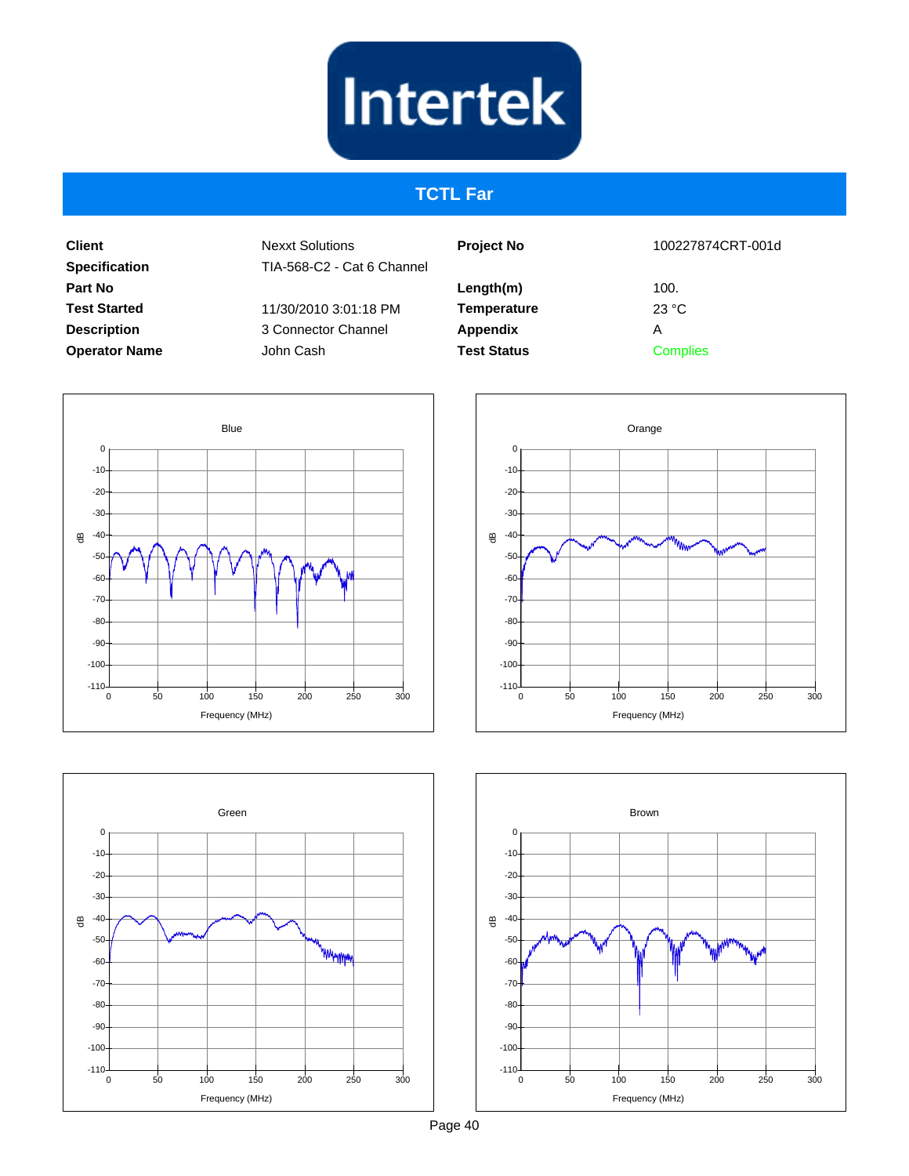# **Intertek**

## **TCTL Far**

**Client Specification Part No Test Started Description Operator Name** Nexxt Solutions TIA-568-C2 - Cat 6 Channel

11/30/2010 3:01:18 PM 3 Connector Channel John Cash

| <b>Project No</b>               | 100227874CRT-001d |
|---------------------------------|-------------------|
| Length(m)<br><b>Temperature</b> | 100.<br>23 °C     |
| Appendix                        | Α                 |
| <b>Test Status</b>              | Complies          |
|                                 |                   |







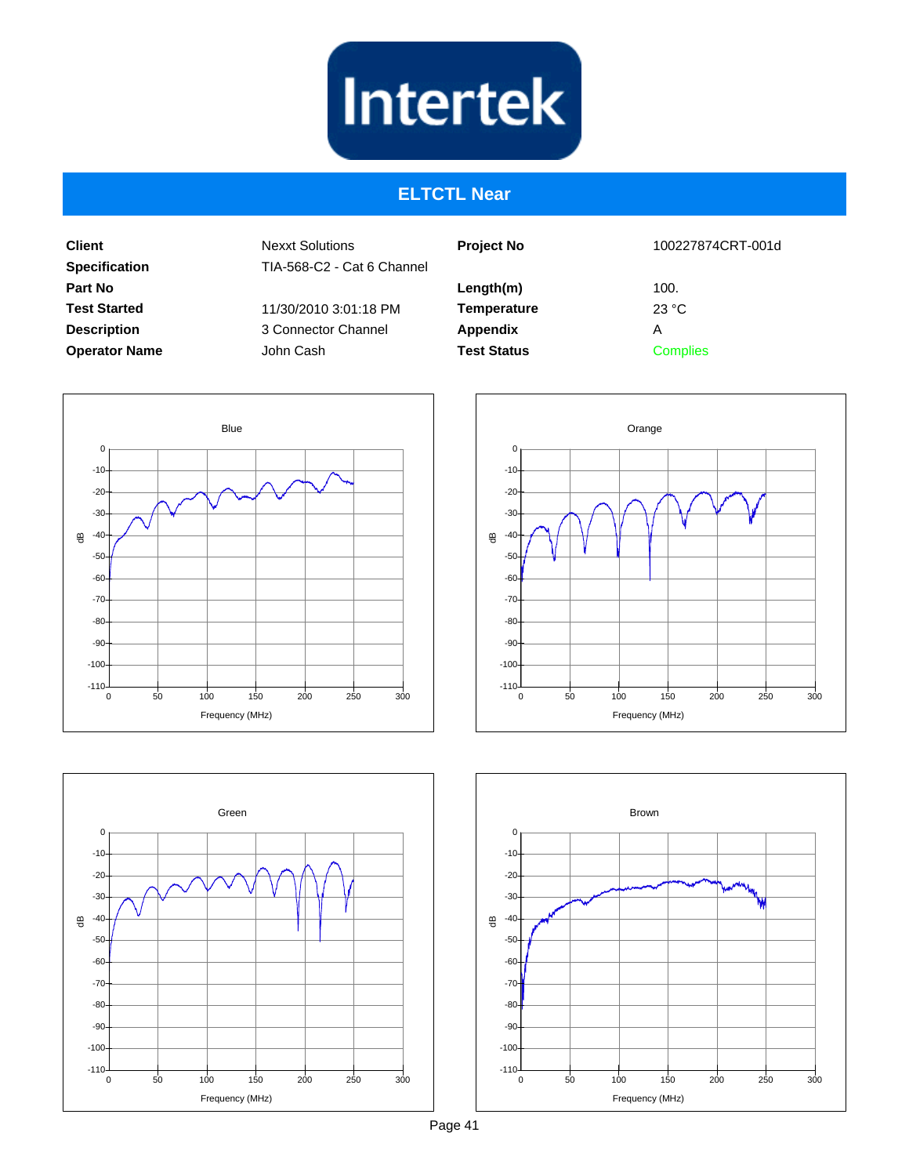

#### **ELTCTL Near**

**Client Specification Part No Test Started Description Operator Name** Nexxt Solutions TIA-568-C2 - Cat 6 Channel

> 11/30/2010 3:01:18 PM 3 Connector Channel John Cash

| <b>Project No</b>  |  |
|--------------------|--|
| Length(m)          |  |
| <b>Temperature</b> |  |
| Appendix           |  |
| <b>Test Status</b> |  |

100227874CRT-001d

100. 23 °C A **Complies**